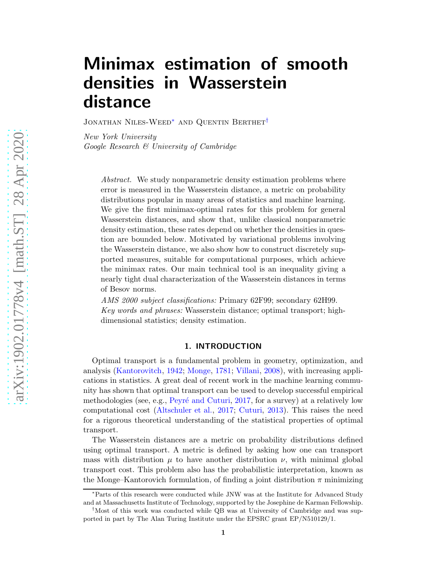# Minimax estimation of smooth densities in Wasserstein distance

Jonathan Niles-Weed[∗](#page-0-0) and Quentin Berthet[†](#page-0-1)

New York University Google Research & University of Cambridge

> Abstract. We study nonparametric density estimation problems where error is measured in the Wasserstein distance, a metric on probability distributions popular in many areas of statistics and machine learning. We give the first minimax-optimal rates for this problem for general Wasserstein distances, and show that, unlike classical nonparametric density estimation, these rates depend on whether the densities in question are bounded below. Motivated by variational problems involving the Wasserstein distance, we also show how to construct discretely supported measures, suitable for computational purposes, which achieve the minimax rates. Our main technical tool is an inequality giving a nearly tight dual characterization of the Wasserstein distances in terms of Besov norms.

> AMS 2000 subject classifications: Primary 62F99; secondary 62H99. Key words and phrases: Wasserstein distance; optimal transport; highdimensional statistics; density estimation.

# 1. INTRODUCTION

Optimal transport is a fundamental problem in geometry, optimization, and analysis [\(Kantorovitch](#page-34-0), [1942](#page-34-0); [Monge](#page-34-1), [1781](#page-34-1); [Villani](#page-34-2), [2008\)](#page-34-2), with increasing applications in statistics. A great deal of recent work in the machine learning community has shown that optimal transport can be used to develop successful empirical methodologies (see, e.g., Peyré and Cuturi, [2017,](#page-34-3) for a survey) at a relatively low computational cost [\(Altschuler et al.](#page-33-0), [2017](#page-33-0); [Cuturi](#page-33-1), [2013](#page-33-1)). This raises the need for a rigorous theoretical understanding of the statistical properties of optimal transport.

The Wasserstein distances are a metric on probability distributions defined using optimal transport. A metric is defined by asking how one can transport mass with distribution  $\mu$  to have another distribution  $\nu$ , with minimal global transport cost. This problem also has the probabilistic interpretation, known as the Monge–Kantorovich formulation, of finding a joint distribution  $\pi$  minimizing

<span id="page-0-0"></span><sup>∗</sup>Parts of this research were conducted while JNW was at the Institute for Advanced Study and at Massachusetts Institute of Technology, supported by the Josephine de Karman Fellowship.

<span id="page-0-1"></span><sup>†</sup>Most of this work was conducted while QB was at University of Cambridge and was supported in part by The Alan Turing Institute under the EPSRC grant EP/N510129/1.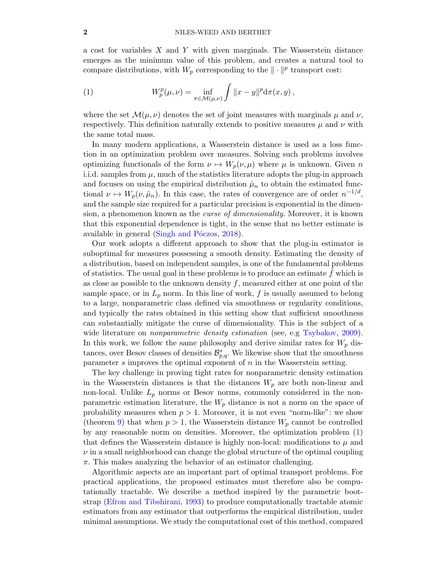a cost for variables  $X$  and  $Y$  with given marginals. The Wasserstein distance emerges as the minimum value of this problem, and creates a natural tool to compare distributions, with  $W_p$  corresponding to the  $\|\cdot\|^p$  transport cost:

<span id="page-1-0"></span>(1) 
$$
W_p^p(\mu,\nu) = \inf_{\pi \in \mathcal{M}(\mu,\nu)} \int \|x - y\|^p d\pi(x,y),
$$

where the set  $\mathcal{M}(\mu, \nu)$  denotes the set of joint measures with marginals  $\mu$  and  $\nu$ , respectively. This definition naturally extends to positive measures  $\mu$  and  $\nu$  with the same total mass.

In many modern applications, a Wasserstein distance is used as a loss function in an optimization problem over measures. Solving such problems involves optimizing functionals of the form  $\nu \mapsto W_p(\nu, \mu)$  where  $\mu$  is unknown. Given n i.i.d. samples from  $\mu$ , much of the statistics literature adopts the plug-in approach and focuses on using the empirical distribution  $\hat{\mu}_n$  to obtain the estimated functional  $\nu \mapsto W_p(\nu, \hat{\mu}_n)$ . In this case, the rates of convergence are of order  $n^{-1/d}$ , and the sample size required for a particular precision is exponential in the dimension, a phenomenon known as the curse of dimensionality. Moreover, it is known that this exponential dependence is tight, in the sense that no better estimate is available in general (Singh and P $\acute{o}c\cos$ , [2018](#page-34-4)).

Our work adopts a different approach to show that the plug-in estimator is suboptimal for measures possessing a smooth density. Estimating the density of a distribution, based on independent samples, is one of the fundamental problems of statistics. The usual goal in these problems is to produce an estimate  $f$  which is as close as possible to the unknown density  $f$ , measured either at one point of the sample space, or in  $L_p$  norm. In this line of work, f is usually assumed to belong to a large, nonparametric class defined via smoothness or regularity conditions, and typically the rates obtained in this setting show that sufficient smoothness can substantially mitigate the curse of dimensionality. This is the subject of a wide literature on *nonparametric density estimation* (see, e.g [Tsybakov,](#page-34-5) [2009](#page-34-5)). In this work, we follow the same philosophy and derive similar rates for  $W_p$  distances, over Besov classes of densities  $\mathcal{B}_{p,q}^s$ . We likewise show that the smoothness parameter s improves the optimal exponent of  $n$  in the Wasserstein setting.

The key challenge in proving tight rates for nonparametric density estimation in the Wasserstein distances is that the distances  $W_p$  are both non-linear and non-local. Unlike  $L_p$  norms or Besov norms, commonly considered in the nonparametric estimation literature, the  $W_p$  distance is not a norm on the space of probability measures when  $p > 1$ . Moreover, it is not even "norm-like": we show (theorem [9\)](#page-11-0) that when  $p > 1$ , the Wasserstein distance  $W_p$  cannot be controlled by any reasonable norm on densities. Moreover, the optimization problem [\(1\)](#page-1-0) that defines the Wasserstein distance is highly non-local: modifications to  $\mu$  and  $\nu$  in a small neighborhood can change the global structure of the optimal coupling  $\pi$ . This makes analyzing the behavior of an estimator challenging.

Algorithmic aspects are an important part of optimal transport problems. For practical applications, the proposed estimates must therefore also be computationally tractable. We describe a method inspired by the parametric bootstrap [\(Efron and Tibshirani,](#page-33-2) [1993\)](#page-33-2) to produce computationally tractable atomic estimators from any estimator that outperforms the empirical distribution, under minimal assumptions. We study the computational cost of this method, compared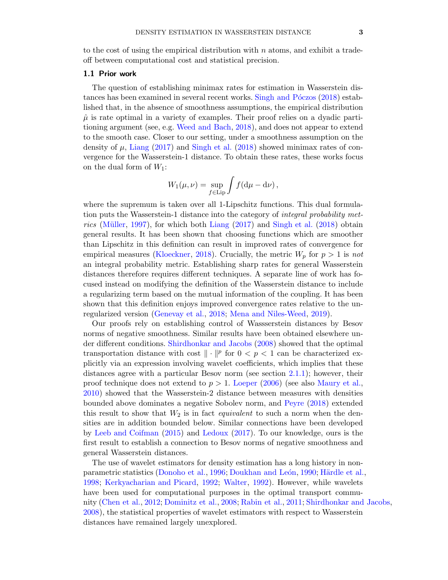to the cost of using the empirical distribution with  $n$  atoms, and exhibit a tradeoff between computational cost and statistical precision.

#### 1.1 Prior work

The question of establishing minimax rates for estimation in Wasserstein dis-tances has been examined in several recent works. Singh and P<sub>2</sub> occos [\(2018\)](#page-34-4) established that, in the absence of smoothness assumptions, the empirical distribution  $\hat{\mu}$  is rate optimal in a variety of examples. Their proof relies on a dyadic partitioning argument (see, e.g. [Weed and Bach](#page-35-0), [2018\)](#page-35-0), and does not appear to extend to the smooth case. Closer to our setting, under a smoothness assumption on the density of  $\mu$ , [Liang](#page-34-6) [\(2017](#page-34-6)) and [Singh et al.](#page-34-7) [\(2018](#page-34-7)) showed minimax rates of convergence for the Wasserstein-1 distance. To obtain these rates, these works focus on the dual form of  $W_1$ :

$$
W_1(\mu,\nu) = \sup_{f \in \text{Lip}} \int f(\mathrm{d}\mu - \mathrm{d}\nu),
$$

where the supremum is taken over all 1-Lipschitz functions. This dual formulation puts the Wasserstein-1 distance into the category of *integral probability met*-rics (Müller, [1997](#page-34-8)), for which both [Liang](#page-34-6)  $(2017)$  $(2017)$  and [Singh et al.](#page-34-7)  $(2018)$  obtain general results. It has been shown that choosing functions which are smoother than Lipschitz in this definition can result in improved rates of convergence for empirical measures [\(Kloeckner](#page-34-9), [2018](#page-34-9)). Crucially, the metric  $W_p$  for  $p > 1$  is not an integral probability metric. Establishing sharp rates for general Wasserstein distances therefore requires different techniques. A separate line of work has focused instead on modifying the definition of the Wasserstein distance to include a regularizing term based on the mutual information of the coupling. It has been shown that this definition enjoys improved convergence rates relative to the unregularized version [\(Genevay et al.](#page-33-3), [2018](#page-33-3); [Mena and Niles-Weed](#page-34-10), [2019](#page-34-10)).

Our proofs rely on establishing control of Wassserstein distances by Besov norms of negative smoothness. Similar results have been obtained elsewhere under different conditions. [Shirdhonkar and Jacobs](#page-34-11) [\(2008](#page-34-11)) showed that the optimal transportation distance with cost  $\|\cdot\|^p$  for  $0 < p < 1$  can be characterized explicitly via an expression involving wavelet coefficients, which implies that these distances agree with a particular Besov norm (see section [2.1.1\)](#page-3-0); however, their proof technique does not extend to  $p > 1$ . [Loeper](#page-34-12) [\(2006](#page-34-12)) (see also [Maury et al.](#page-34-13), [2010](#page-34-13)) showed that the Wasserstein-2 distance between measures with densities bounded above dominates a negative Sobolev norm, and [Peyre](#page-34-14) [\(2018](#page-34-14)) extended this result to show that  $W_2$  is in fact *equivalent* to such a norm when the densities are in addition bounded below. Similar connections have been developed by [Leeb and Coifman](#page-34-15) [\(2015](#page-34-15)) and [Ledoux](#page-34-16) [\(2017](#page-34-16)). To our knowledge, ours is the first result to establish a connection to Besov norms of negative smoothness and general Wasserstein distances.

The use of wavelet estimators for density estimation has a long history in non-parametric statistics [\(Donoho et al.](#page-33-4), [1996](#page-33-4); Doukhan and León, [1990](#page-33-5); Härdle et al., [1998](#page-34-17); [Kerkyacharian and Picard](#page-34-18), [1992;](#page-34-18) [Walter,](#page-35-1) [1992](#page-35-1)). However, while wavelets have been used for computational purposes in the optimal transport community [\(Chen et al.](#page-33-6), [2012](#page-33-6); [Dominitz et al.,](#page-33-7) [2008](#page-33-7); [Rabin et al.,](#page-34-19) [2011](#page-34-19); [Shirdhonkar and Jacobs](#page-34-11), [2008](#page-34-11)), the statistical properties of wavelet estimators with respect to Wasserstein distances have remained largely unexplored.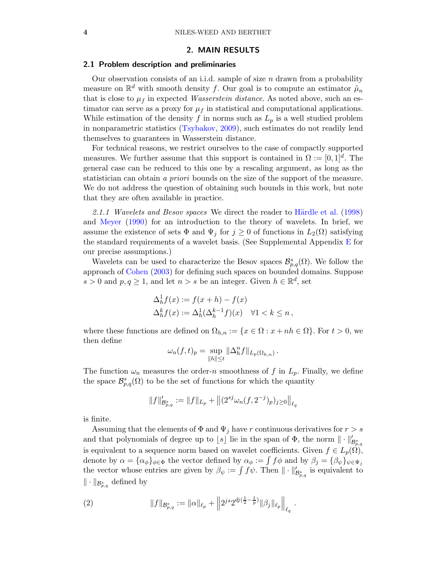#### 2. MAIN RESULTS

# 2.1 Problem description and preliminaries

Our observation consists of an i.i.d. sample of size  $n$  drawn from a probability measure on  $\mathbb{R}^d$  with smooth density f. Our goal is to compute an estimator  $\tilde{\mu}_n$ that is close to  $\mu_f$  in expected *Wasserstein distance*. As noted above, such an estimator can serve as a proxy for  $\mu_f$  in statistical and computational applications. While estimation of the density f in norms such as  $L_p$  is a well studied problem in nonparametric statistics [\(Tsybakov](#page-34-5), [2009](#page-34-5)), such estimates do not readily lend themselves to guarantees in Wasserstein distance.

For technical reasons, we restrict ourselves to the case of compactly supported measures. We further assume that this support is contained in  $\Omega := [0,1]^d$ . The general case can be reduced to this one by a rescaling argument, as long as the statistician can obtain a priori bounds on the size of the support of the measure. We do not address the question of obtaining such bounds in this work, but note that they are often available in practice.

<span id="page-3-0"></span>2.1.1 Wavelets and Besov spaces We direct the reader to Härdle et al. [\(1998](#page-34-17)) and [Meyer](#page-34-20) [\(1990](#page-34-20)) for an introduction to the theory of wavelets. In brief, we assume the existence of sets  $\Phi$  and  $\Psi_j$  for  $j \geq 0$  of functions in  $L_2(\Omega)$  satisfying the standard requirements of a wavelet basis. (See Supplemental Appendix [E](#page-32-0) for our precise assumptions.)

Wavelets can be used to characterize the Besov spaces  $\mathcal{B}_{p,q}^s(\Omega)$ . We follow the approach of [Cohen](#page-33-8) [\(2003](#page-33-8)) for defining such spaces on bounded domains. Suppose  $s > 0$  and  $p, q \ge 1$ , and let  $n > s$  be an integer. Given  $h \in \mathbb{R}^d$ , set

$$
\Delta_h^1 f(x) := f(x+h) - f(x)
$$
  

$$
\Delta_h^k f(x) := \Delta_h^1(\Delta_h^{k-1} f)(x) \quad \forall 1 < k \le n,
$$

where these functions are defined on  $\Omega_{h,n} := \{x \in \Omega : x + nh \in \Omega\}$ . For  $t > 0$ , we then define

$$
\omega_n(f,t)_p = \sup_{\|h\| \le t} \|\Delta_h^n f\|_{L_p(\Omega_{h,n})}.
$$

The function  $\omega_n$  measures the order-n smoothness of f in  $L_p$ . Finally, we define the space  $\mathcal{B}_{p,q}^{s}(\Omega)$  to be the set of functions for which the quantity

$$
||f||'_{\mathcal{B}_{p,q}^s} := ||f||_{L_p} + ||(2^{sj}\omega_n(f, 2^{-j})_p)_{j\geq 0}||_{\ell_q}
$$

is finite.

Assuming that the elements of  $\Phi$  and  $\Psi_j$  have r continuous derivatives for  $r > s$ and that polynomials of degree up to [s] lie in the span of  $\Phi$ , the norm  $\|\cdot\|'_{\mathcal{B}^s_{p,q}}$ is equivalent to a sequence norm based on wavelet coefficients. Given  $f \in L_p(\Omega)$ , denote by  $\alpha = {\alpha_{\phi}}_{\phi \in \Phi}$  the vector defined by  $\alpha_{\phi} := \int f \phi$  and by  $\beta_j = {\beta_{\psi}}_{\psi \in \Psi_j}$ the vector whose entries are given by  $\beta_{\psi} := \int f \psi$ . Then  $\|\cdot\|'_{\mathcal{B}_{p,q}^s}$  is equivalent to  $\|\cdot\|_{\mathcal{B}^s_{p,q}}$  defined by

<span id="page-3-1"></span>(2) 
$$
||f||_{\mathcal{B}_{p,q}^s} := ||\alpha||_{\ell_p} + ||2^{js} 2^{dj(\frac{1}{2} - \frac{1}{p})} ||\beta_j||_{\ell_p} ||_{\ell_q}.
$$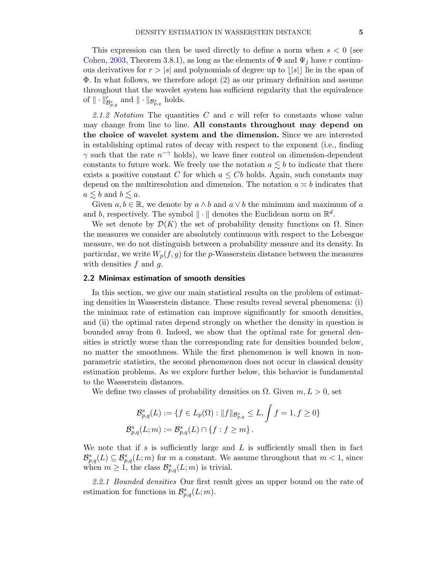This expression can then be used directly to define a norm when  $s < 0$  (see [Cohen](#page-33-8), [2003,](#page-33-8) Theorem 3.8.1), as long as the elements of  $\Phi$  and  $\Psi_i$  have r continuous derivatives for  $r > |s|$  and polynomials of degree up to  $\frac{|s|}{s}$  lie in the span of Φ. In what follows, we therefore adopt [\(2\)](#page-3-1) as our primary definition and assume throughout that the wavelet system has sufficient regularity that the equivalence of  $\|\cdot\|'_{\mathcal{B}^s_{p,q}}$  and  $\|\cdot\|_{\mathcal{B}^s_{p,q}}$  holds.

2.1.2 Notation The quantities  $C$  and  $c$  will refer to constants whose value may change from line to line. All constants throughout may depend on the choice of wavelet system and the dimension. Since we are interested in establishing optimal rates of decay with respect to the exponent (i.e., finding  $\gamma$  such that the rate  $n^{-\gamma}$  holds), we leave finer control on dimension-dependent constants to future work. We freely use the notation  $a \lesssim b$  to indicate that there exists a positive constant C for which  $a \leq Cb$  holds. Again, such constants may depend on the multiresolution and dimension. The notation  $a \approx b$  indicates that  $a \lesssim b$  and  $b \lesssim a$ .

Given  $a, b \in \mathbb{R}$ , we denote by  $a \wedge b$  and  $a \vee b$  the minimum and maximum of a and b, respectively. The symbol  $\|\cdot\|$  denotes the Euclidean norm on  $\mathbb{R}^d$ .

We set denote by  $\mathcal{D}(K)$  the set of probability density functions on  $\Omega$ . Since the measures we consider are absolutely continuous with respect to the Lebesgue measure, we do not distinguish between a probability measure and its density. In particular, we write  $W_p(f, g)$  for the p-Wasserstein distance between the measures with densities  $f$  and  $g$ .

#### <span id="page-4-1"></span>2.2 Minimax estimation of smooth densities

In this section, we give our main statistical results on the problem of estimating densities in Wasserstein distance. These results reveal several phenomena: (i) the minimax rate of estimation can improve significantly for smooth densities, and (ii) the optimal rates depend strongly on whether the density in question is bounded away from 0. Indeed, we show that the optimal rate for general densities is strictly worse than the corresponding rate for densities bounded below, no matter the smoothness. While the first phenomenon is well known in nonparametric statistics, the second phenomenon does not occur in classical density estimation problems. As we explore further below, this behavior is fundamental to the Wasserstein distances.

We define two classes of probability densities on  $\Omega$ . Given  $m, L > 0$ , set

$$
\mathcal{B}_{p,q}^{s}(L) := \{ f \in L_p(\Omega) : ||f||_{\mathcal{B}_{p,q}^{s}} \le L, \int f = 1, f \ge 0 \}
$$
  

$$
\mathcal{B}_{p,q}^{s}(L;m) := \mathcal{B}_{p,q}^{s}(L) \cap \{ f : f \ge m \}.
$$

We note that if  $s$  is sufficiently large and  $L$  is sufficiently small then in fact  $\mathcal{B}_{p,q}^{s}(L) \subseteq \mathcal{B}_{p,q}^{s}(L; m)$  for m a constant. We assume throughout that  $m < 1$ , since when  $m \geq 1$ , the class  $\mathcal{B}_{p,q}^{s}(L; m)$  is trivial.

<span id="page-4-0"></span>2.2.1 Bounded densities Our first result gives an upper bound on the rate of estimation for functions in  $\mathcal{B}_{p,q}^s(L;m)$ .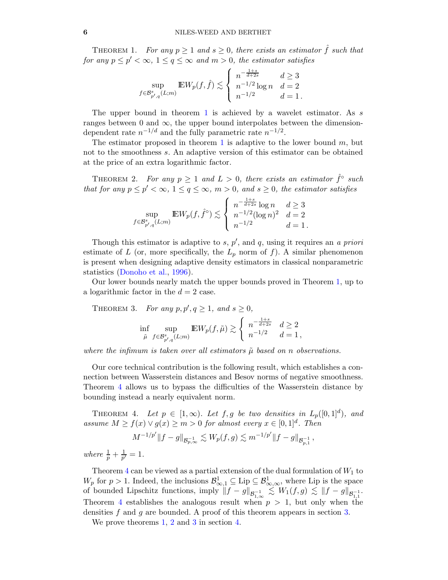THEOREM 1. For any  $p \ge 1$  and  $s \ge 0$ , there exists an estimator  $\hat{f}$  such that for any  $p \leq p' < \infty$ ,  $1 \leq q \leq \infty$  and  $m > 0$ , the estimator satisfies

$$
\sup_{f \in \mathcal{B}^s_{p',q}(L;m)} \mathbb{E} W_p(f,\hat{f}) \lesssim \begin{cases} n^{-\frac{1+s}{d+2s}} & d \ge 3\\ n^{-1/2} \log n & d = 2\\ n^{-1/2} & d = 1 \end{cases}.
$$

The upper bound in theorem  $1$  is achieved by a wavelet estimator. As s ranges between 0 and  $\infty$ , the upper bound interpolates between the dimensiondependent rate  $n^{-1/d}$  and the fully parametric rate  $n^{-1/2}$ .

The estimator proposed in theorem [1](#page-4-0) is adaptive to the lower bound  $m$ , but not to the smoothness s. An adaptive version of this estimator can be obtained at the price of an extra logarithmic factor.

<span id="page-5-1"></span>THEOREM 2. For any  $p \ge 1$  and  $L > 0$ , there exists an estimator  $\hat{f}^{\circ}$  such that for any  $p \le p' < \infty$ ,  $1 \le q \le \infty$ ,  $m > 0$ , and  $s \ge 0$ , the estimator satisfies

$$
\sup_{f \in \mathcal{B}^s_{p',q}(L;m)} \mathbb{E} W_p(f, \hat{f}^{\circ}) \lesssim \left\{ \begin{array}{ll} n^{-\frac{1+s}{d+2s}} \log n & d \geq 3 \\ n^{-1/2} (\log n)^2 & d = 2 \\ n^{-1/2} & d = 1 \, . \end{array} \right.
$$

Though this estimator is adaptive to  $s, p'$ , and  $q$ , using it requires an a priori estimate of L (or, more specifically, the  $L_p$  norm of f). A similar phenomenon is present when designing adaptive density estimators in classical nonparametric statistics [\(Donoho et al.](#page-33-4), [1996\)](#page-33-4).

<span id="page-5-2"></span>Our lower bounds nearly match the upper bounds proved in Theorem [1,](#page-4-0) up to a logarithmic factor in the  $d = 2$  case.

THEOREM 3. For any 
$$
p, p', q \ge 1
$$
, and  $s \ge 0$ ,  
\n
$$
\inf_{\tilde{\mu}} \sup_{f \in \mathcal{B}_{p',q}^s(L;m)} \mathbb{E} W_p(f, \tilde{\mu}) \gtrsim \begin{cases} n^{-\frac{1+s}{d+2s}} & d \ge 2\\ n^{-1/2} & d = 1 \end{cases}
$$

where the infimum is taken over all estimators  $\tilde{\mu}$  based on n observations.

Our core technical contribution is the following result, which establishes a connection between Wasserstein distances and Besov norms of negative smoothness. Theorem [4](#page-5-0) allows us to bypass the difficulties of the Wasserstein distance by bounding instead a nearly equivalent norm.

<span id="page-5-0"></span>THEOREM 4. Let  $p \in [1,\infty)$ . Let  $f, g$  be two densities in  $L_p([0,1]^d)$ , and assume  $M \ge f(x) \vee g(x) \ge m > 0$  for almost every  $x \in [0,1]^d$ . Then

$$
M^{-1/p'}\|f-g\|_{\mathcal{B}_{p,\infty}^{-1}}\lesssim W_p(f,g)\lesssim m^{-1/p'}\|f-g\|_{\mathcal{B}_{p,1}^{-1}}\,,
$$

where  $\frac{1}{p} + \frac{1}{p'}$  $\frac{1}{p'}=1.$ 

Theorem [4](#page-5-0) can be viewed as a partial extension of the dual formulation of  $W_1$  to  $W_p$  for  $p > 1$ . Indeed, the inclusions  $\mathcal{B}^1_{\infty,1} \subseteq \text{Lip} \subseteq \mathcal{B}^1_{\infty,\infty}$ , where Lip is the space of bounded Lipschitz functions, imply  $||f-g||_{\mathcal{B}_{1,\infty}^{-1}} \lesssim W_1(f,g) \lesssim ||f-g||_{\mathcal{B}_{1,1}^{-1}}$ . Theorem [4](#page-5-0) establishes the analogous result when  $p > 1$ , but only when the densities f and g are bounded. A proof of this theorem appears in section [3.](#page-7-0)

We prove theorems [1,](#page-4-0) [2](#page-5-1) and [3](#page-5-2) in section [4.](#page-12-0)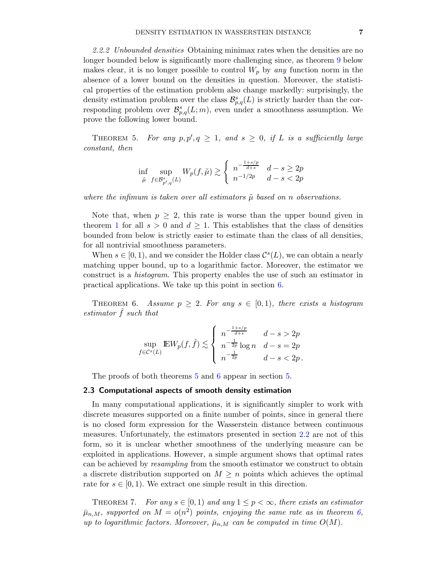2.2.2 Unbounded densities Obtaining minimax rates when the densities are no longer bounded below is significantly more challenging since, as theorem [9](#page-11-0) below makes clear, it is no longer possible to control  $W_p$  by any function norm in the absence of a lower bound on the densities in question. Moreover, the statistical properties of the estimation problem also change markedly: surprisingly, the density estimation problem over the class  $\mathcal{B}_{p,q}^{s}(L)$  is strictly harder than the corresponding problem over  $\mathcal{B}_{p,q}^s(L;m)$ , even under a smoothness assumption. We prove the following lower bound.

<span id="page-6-0"></span>THEOREM 5. For any  $p, p', q \geq 1$ , and  $s \geq 0$ , if L is a sufficiently large constant, then

$$
\inf_{\tilde{\mu}} \sup_{f \in \mathcal{B}^s_{p',q}(L)} W_p(f, \tilde{\mu}) \gtrsim \begin{cases} n^{-\frac{1+s/p}{d+s}} & d-s \ge 2p \\ n^{-1/2p} & d-s < 2p \end{cases}
$$

where the infimum is taken over all estimators  $\tilde{\mu}$  based on n observations.

Note that, when  $p \geq 2$ , this rate is worse than the upper bound given in theorem [1](#page-4-0) for all  $s > 0$  and  $d \geq 1$ . This establishes that the class of densities bounded from below is strictly easier to estimate than the class of all densities, for all nontrivial smoothness parameters.

When  $s \in [0, 1)$ , and we consider the Holder class  $\mathcal{C}^s(L)$ , we can obtain a nearly matching upper bound, up to a logarithmic factor. Moreover, the estimator we construct is a histogram. This property enables the use of such an estimator in practical applications. We take up this point in section [6.](#page-18-0)

<span id="page-6-1"></span>THEOREM 6. Assume  $p \geq 2$ . For any  $s \in [0,1)$ , there exists a histogram estimator  $\hat{f}$  such that

$$
\sup_{f \in \mathcal{C}^s(L)} \mathbb{E} W_p(f, \hat{f}) \lesssim \begin{cases} n^{-\frac{1+s/p}{d+s}} & d-s > 2p \\ n^{-\frac{1}{2p}} \log n & d-s = 2p \\ n^{-\frac{1}{2p}} & d-s < 2p \end{cases}.
$$

The proofs of both theorems [5](#page-6-0) and [6](#page-6-1) appear in section [5.](#page-15-0)

#### 2.3 Computational aspects of smooth density estimation

In many computational applications, it is significantly simpler to work with discrete measures supported on a finite number of points, since in general there is no closed form expression for the Wasserstein distance between continuous measures. Unfortunately, the estimators presented in section [2.2](#page-4-1) are not of this form, so it is unclear whether smoothness of the underlying measure can be exploited in applications. However, a simple argument shows that optimal rates can be achieved by resampling from the smooth estimator we construct to obtain a discrete distribution supported on  $M \geq n$  points which achieves the optimal rate for  $s \in [0, 1)$ . We extract one simple result in this direction.

<span id="page-6-2"></span>THEOREM 7. For any  $s \in [0,1)$  and any  $1 \leq p < \infty$ , there exists an estimator  $\bar{\mu}_{n,M}$ , supported on  $M = o(n^2)$  points, enjoying the same rate as in theorem [6,](#page-6-1) up to logarithmic factors. Moreover,  $\bar{\mu}_{n,M}$  can be computed in time  $O(M)$ .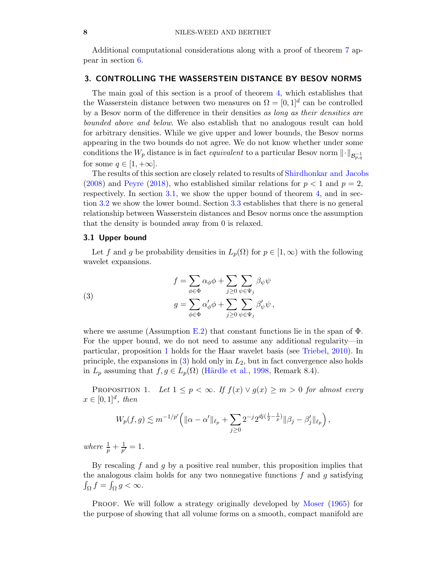Additional computational considerations along with a proof of theorem [7](#page-6-2) appear in section [6.](#page-18-0)

# <span id="page-7-0"></span>3. CONTROLLING THE WASSERSTEIN DISTANCE BY BESOV NORMS

The main goal of this section is a proof of theorem [4,](#page-5-0) which establishes that the Wasserstein distance between two measures on  $\Omega = [0, 1]^d$  can be controlled by a Besov norm of the difference in their densities as long as their densities are bounded above and below. We also establish that no analogous result can hold for arbitrary densities. While we give upper and lower bounds, the Besov norms appearing in the two bounds do not agree. We do not know whether under some conditions the  $W_p$  distance is in fact *equivalent* to a particular Besov norm  $\lVert \cdot \rVert_{\mathcal{B}^{-1}_{p,q}}$ for some  $q \in [1, +\infty]$ .

The results of this section are closely related to results of [Shirdhonkar and Jacobs](#page-34-11) [\(2008\)](#page-34-11) and [Peyre](#page-34-14) [\(2018](#page-34-14)), who established similar relations for  $p < 1$  and  $p = 2$ , respectively. In section [3.1,](#page-7-1) we show the upper bound of theorem [4,](#page-5-0) and in section [3.2](#page-10-0) we show the lower bound. Section [3.3](#page-11-1) establishes that there is no general relationship between Wasserstein distances and Besov norms once the assumption that the density is bounded away from 0 is relaxed.

#### <span id="page-7-1"></span>3.1 Upper bound

Let f and g be probability densities in  $L_p(\Omega)$  for  $p \in [1,\infty)$  with the following wavelet expansions.

<span id="page-7-3"></span>(3) 
$$
f = \sum_{\phi \in \Phi} \alpha_{\phi} \phi + \sum_{j \ge 0} \sum_{\psi \in \Psi_j} \beta_{\psi} \psi
$$

$$
g = \sum_{\phi \in \Phi} \alpha_{\phi}' \phi + \sum_{j \ge 0} \sum_{\psi \in \Psi_j} \beta_{\psi}' \psi,
$$

where we assume (Assumption [E.2\)](#page-32-1) that constant functions lie in the span of  $\Phi$ . For the upper bound, we do not need to assume any additional regularity—in particular, proposition [1](#page-7-2) holds for the Haar wavelet basis (see [Triebel,](#page-34-21) [2010](#page-34-21)). In principle, the expansions in  $(3)$  hold only in  $L_2$ , but in fact convergence also holds in  $L_p$  assuming that  $f, g \in L_p(\Omega)$  (Härdle et al., [1998,](#page-34-17) Remark 8.4).

<span id="page-7-2"></span>PROPOSITION 1. Let  $1 \leq p < \infty$ . If  $f(x) \vee g(x) \geq m > 0$  for almost every  $x \in [0,1]^d$ , then

$$
W_p(f,g) \lesssim m^{-1/p'} \Big( \| \alpha - \alpha' \|_{\ell_p} + \sum_{j \geq 0} 2^{-j} 2^{dj(\frac{1}{2} - \frac{1}{p})} \| \beta_j - \beta'_j \|_{\ell_p} \Big) \, ,
$$

where  $\frac{1}{p} + \frac{1}{p'} = 1$ .

By rescaling f and q by a positive real number, this proposition implies that the analogous claim holds for any two nonnegative functions  $f$  and  $g$  satisfying  $\int_{\Omega} f = \int_{\Omega} g < \infty.$ 

PROOF. We will follow a strategy originally developed by [Moser](#page-34-22) [\(1965](#page-34-22)) for the purpose of showing that all volume forms on a smooth, compact manifold are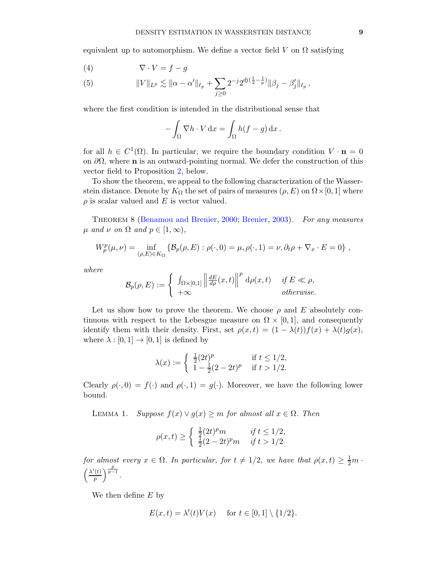equivalent up to automorphism. We define a vector field V on  $\Omega$  satisfying

<span id="page-8-0"></span>
$$
(4) \qquad \qquad \nabla \cdot V = f - g
$$

<span id="page-8-1"></span>(5) 
$$
||V||_{L^p} \lesssim ||\alpha - \alpha'||_{\ell_p} + \sum_{j \geq 0} 2^{-j} 2^{dj(\frac{1}{2} - \frac{1}{p})} ||\beta_j - \beta'_j||_{\ell_p},
$$

where the first condition is intended in the distributional sense that

$$
-\int_{\Omega} \nabla h \cdot V \, \mathrm{d}x = \int_{\Omega} h(f - g) \, \mathrm{d}x \, .
$$

for all  $h \in C^1(\Omega)$ . In particular, we require the boundary condition  $V \cdot \mathbf{n} = 0$ on  $\partial\Omega$ , where **n** is an outward-pointing normal. We defer the construction of this vector field to Proposition [2,](#page-9-0) below.

To show the theorem, we appeal to the following characterization of the Wasserstein distance. Denote by  $K_{\Omega}$  the set of pairs of measures  $(\rho, E)$  on  $\Omega \times [0, 1]$  where  $\rho$  is scalar valued and E is vector valued.

THEOREM 8 [\(Benamou and Brenier,](#page-33-9) [2000](#page-33-9); [Brenier](#page-33-10), [2003](#page-33-10)). For any measures  $\mu$  and  $\nu$  on  $\Omega$  and  $p \in [1,\infty)$ ,

$$
W_p^p(\mu,\nu) = \inf_{(\rho,E)\in K_{\Omega}} \{ \mathcal{B}_p(\rho,E) : \rho(\cdot,0) = \mu, \rho(\cdot,1) = \nu, \partial_t \rho + \nabla_x \cdot E = 0 \},
$$

where

$$
\mathcal{B}_p(\rho, E) := \begin{cases} \int_{\Omega \times [0,1]} \left\| \frac{dE}{d\rho}(x,t) \right\|^p \, \mathrm{d}\rho(x,t) & \text{if } E \ll \rho, \\ +\infty & \text{otherwise.} \end{cases}
$$

Let us show how to prove the theorem. We choose  $\rho$  and E absolutely continuous with respect to the Lebesgue measure on  $\Omega \times [0,1]$ , and consequently identify them with their density. First, set  $\rho(x,t) = (1 - \lambda(t))f(x) + \lambda(t)g(x)$ , where  $\lambda : [0, 1] \rightarrow [0, 1]$  is defined by

$$
\lambda(x) := \begin{cases} \frac{1}{2}(2t)^p & \text{if } t \le 1/2, \\ 1 - \frac{1}{2}(2 - 2t)^p & \text{if } t > 1/2. \end{cases}
$$

<span id="page-8-2"></span>Clearly  $\rho(\cdot, 0) = f(\cdot)$  and  $\rho(\cdot, 1) = g(\cdot)$ . Moreover, we have the following lower bound.

LEMMA 1. Suppose  $f(x) \vee g(x) \geq m$  for almost all  $x \in \Omega$ . Then

$$
\rho(x,t) \ge \begin{cases} \frac{1}{2}(2t)^p m & \text{if } t \le 1/2, \\ \frac{1}{2}(2-2t)^p m & \text{if } t > 1/2 \end{cases}
$$

for almost every  $x \in \Omega$ . In particular, for  $t \neq 1/2$ , we have that  $\rho(x,t) \geq \frac{1}{2}m$ .  $\left(\frac{\lambda'(t)}{t}\right)$  $\frac{p}{p}$  $\left(\frac{p}{p-1}\right)^{\frac{p}{p-1}}$ .

We then define  $E$  by

$$
E(x,t) = \lambda'(t)V(x) \quad \text{ for } t \in [0,1] \setminus \{1/2\}.
$$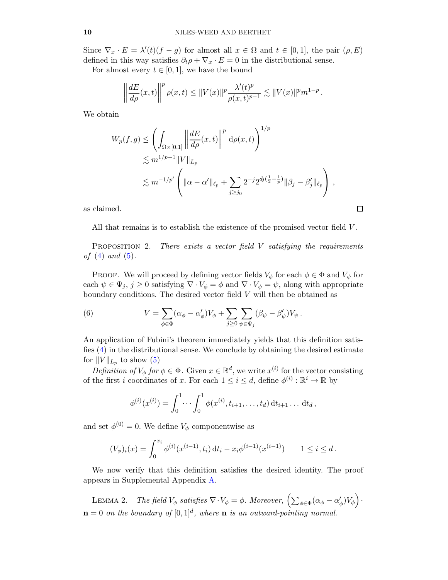Since  $\nabla_x \cdot E = \lambda'(t)(f - g)$  for almost all  $x \in \Omega$  and  $t \in [0, 1]$ , the pair  $(\rho, E)$ defined in this way satisfies  $\partial_t \rho + \nabla_x \cdot E = 0$  in the distributional sense.

For almost every  $t \in [0, 1]$ , we have the bound

$$
\left\|\frac{dE}{d\rho}(x,t)\right\|^p \rho(x,t) \le \|V(x)\|^p \frac{\lambda'(t)^p}{\rho(x,t)^{p-1}} \lesssim \|V(x)\|^p m^{1-p}.
$$

We obtain

$$
W_p(f,g) \le \left(\int_{\Omega \times [0,1]} \left\| \frac{dE}{d\rho}(x,t) \right\|^p d\rho(x,t)\right)^{1/p} \n\lesssim m^{1/p-1} \|V\|_{L_p} \n\lesssim m^{-1/p'} \left(\|\alpha - \alpha'\|_{\ell_p} + \sum_{j \ge j_0} 2^{-j} 2^{dj(\frac{1}{2} - \frac{1}{p})} \|\beta_j - \beta'_j\|_{\ell_p}\right),
$$

as claimed.

<span id="page-9-0"></span>All that remains is to establish the existence of the promised vector field  $V$ .

PROPOSITION 2. There exists a vector field  $V$  satisfying the requirements *of* [\(4\)](#page-8-0) *and* [\(5\)](#page-8-1).

PROOF. We will proceed by defining vector fields  $V_{\phi}$  for each  $\phi \in \Phi$  and  $V_{\psi}$  for each  $\psi \in \Psi_j$ ,  $j \geq 0$  satisfying  $\nabla \cdot V_{\phi} = \phi$  and  $\nabla \cdot V_{\psi} = \psi$ , along with appropriate boundary conditions. The desired vector field  $V$  will then be obtained as

<span id="page-9-1"></span>(6) 
$$
V = \sum_{\phi \in \Phi} (\alpha_{\phi} - \alpha'_{\phi}) V_{\phi} + \sum_{j \geq 0} \sum_{\psi \in \Psi_j} (\beta_{\psi} - \beta'_{\psi}) V_{\psi}.
$$

An application of Fubini's theorem immediately yields that this definition satisfies [\(4\)](#page-8-0) in the distributional sense. We conclude by obtaining the desired estimate for  $||V||_{L_p}$  to show  $(5)$ 

Definition of  $V_{\phi}$  for  $\phi \in \Phi$ . Given  $x \in \mathbb{R}^d$ , we write  $x^{(i)}$  for the vector consisting of the first *i* coordinates of x. For each  $1 \leq i \leq d$ , define  $\phi^{(i)} : \mathbb{R}^i \to \mathbb{R}$  by

$$
\phi^{(i)}(x^{(i)}) = \int_0^1 \cdots \int_0^1 \phi(x^{(i)}, t_{i+1}, \ldots, t_d) dt_{i+1} \ldots dt_d,
$$

and set  $\phi^{(0)} = 0$ . We define  $V_{\phi}$  componentwise as

$$
(V_{\phi})_i(x) = \int_0^{x_i} \phi^{(i)}(x^{(i-1)}, t_i) dt_i - x_i \phi^{(i-1)}(x^{(i-1)}) \qquad 1 \le i \le d.
$$

<span id="page-9-2"></span>We now verify that this definition satisfies the desired identity. The proof appears in Supplemental Appendix [A.](#page-22-0)

LEMMA 2. The field  $V_{\phi}$  satisfies  $\nabla \cdot V_{\phi} = \phi$ . Moreover,  $\left( \sum_{\phi \in \Phi} (\alpha_{\phi} - \alpha'_{\phi}) V_{\phi} \right) \cdot$  $\mathbf{n} = 0$  on the boundary of  $[0,1]^d$ , where  $\mathbf{n}$  is an outward-pointing normal.

$$
\overline{\square}
$$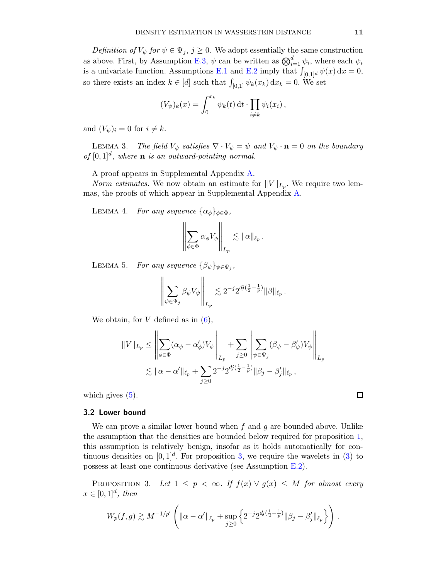Definition of  $V_{\psi}$  for  $\psi \in \Psi_j$ ,  $j \geq 0$ . We adopt essentially the same construction as above. First, by Assumption [E.3,](#page-32-2)  $\psi$  can be written as  $\bigotimes_{i=1}^{d} \psi_i$ , where each  $\psi_i$ is a univariate function. Assumptions [E.1](#page-32-3) and [E.2](#page-32-1) imply that  $\int_{[0,1]^d} \psi(x) dx = 0$ , so there exists an index  $k \in [d]$  such that  $\int_{[0,1]} \psi_k(x_k) dx_k = 0$ . We set

$$
(V_{\psi})_k(x) = \int_0^{x_k} \psi_k(t) dt \cdot \prod_{i \neq k} \psi_i(x_i),
$$

<span id="page-10-2"></span>and  $(V_{\psi})_i = 0$  for  $i \neq k$ .

LEMMA 3. The field  $V_{\psi}$  satisfies  $\nabla \cdot V_{\psi} = \psi$  and  $V_{\psi} \cdot \mathbf{n} = 0$  on the boundary of  $[0,1]^d$ , where **n** is an outward-pointing normal.

A proof appears in Supplemental Appendix [A.](#page-22-0)

<span id="page-10-3"></span>*Norm estimates.* We now obtain an estimate for  $||V||_{L_p}$ . We require two lemmas, the proofs of which appear in Supplemental Appendix [A.](#page-22-0)

LEMMA 4. For any sequence  $\{\alpha_{\phi}\}_{\phi \in \Phi}$ ,

$$
\left\|\sum_{\phi\in\Phi}\alpha_\phi V_\phi\right\|_{L_p}\lesssim \|\alpha\|_{\ell_p}\,.
$$

<span id="page-10-4"></span>LEMMA 5. For any sequence  $\{\beta_{\psi}\}_{\psi \in \Psi_j},$ 

$$
\left\|\sum_{\psi\in\Psi_j}\beta_\psi V_\psi\right\|_{L_p}\lesssim 2^{-j}2^{dj(\frac{1}{2}-\frac{1}{p})}\|\beta\|_{\ell_p}\,.
$$

We obtain, for  $V$  defined as in  $(6)$ ,

$$
||V||_{L_p} \leq \left\| \sum_{\phi \in \Phi} (\alpha_{\phi} - \alpha_{\phi}')V_{\phi} \right\|_{L_p} + \sum_{j \geq 0} \left\| \sum_{\psi \in \Psi_j} (\beta_{\psi} - \beta_{\psi}')V_{\psi} \right\|_{L_p}
$$
  
 
$$
\lesssim ||\alpha - \alpha'||_{\ell_p} + \sum_{j \geq 0} 2^{-j} 2^{dj(\frac{1}{2} - \frac{1}{p})} ||\beta_j - \beta_j'||_{\ell_p},
$$

<span id="page-10-0"></span>which gives  $(5)$ .

#### 3.2 Lower bound

We can prove a similar lower bound when  $f$  and  $g$  are bounded above. Unlike the assumption that the densities are bounded below required for proposition [1,](#page-7-2) this assumption is relatively benign, insofar as it holds automatically for continuous densities on  $[0,1]^d$ . For proposition [3,](#page-10-1) we require the wavelets in [\(3\)](#page-7-3) to possess at least one continuous derivative (see Assumption [E.2\)](#page-32-1).

<span id="page-10-1"></span>PROPOSITION 3. Let  $1 \leq p \leq \infty$ . If  $f(x) \vee g(x) \leq M$  for almost every  $x \in [0,1]^d$ , then

$$
W_p(f,g) \gtrsim M^{-1/p'} \left( \|\alpha - \alpha'\|_{\ell_p} + \sup_{j\geq 0} \left\{ 2^{-j} 2^{dj(\frac{1}{2} - \frac{1}{p})} \|\beta_j - \beta'_j\|_{\ell_p} \right\} \right).
$$

 $\Box$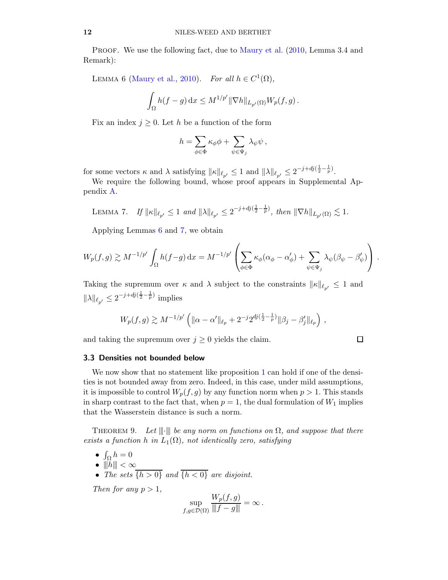<span id="page-11-2"></span>PROOF. We use the following fact, due to [Maury et al.](#page-34-13)  $(2010, \text{Lemma } 3.4 \text{ and } \text{]}$  $(2010, \text{Lemma } 3.4 \text{ and } \text{]}$ Remark):

LEMMA 6 [\(Maury et al.,](#page-34-13) [2010](#page-34-13)). For all  $h \in C^1(\Omega)$ ,

$$
\int_{\Omega} h(f-g) dx \leq M^{1/p'} \|\nabla h\|_{L_{p'}(\Omega)} W_p(f,g) .
$$

Fix an index  $j \geq 0$ . Let h be a function of the form

$$
h=\sum_{\phi\in\Phi}\kappa_\phi\phi+\sum_{\psi\in\Psi_j}\lambda_\psi\psi\,,
$$

for some vectors  $\kappa$  and  $\lambda$  satisfying  $\|\kappa\|_{\ell_{p'}} \leq 1$  and  $\|\lambda\|_{\ell_{p'}} \leq 2^{-j+dj(\frac{1}{2}-\frac{1}{p})}$ .

<span id="page-11-3"></span>We require the following bound, whose proof appears in Supplemental Appendix [A.](#page-22-0)

LEMMA 7. If 
$$
||\kappa||_{\ell_{p'}} \le 1
$$
 and  $||\lambda||_{\ell_{p'}} \le 2^{-j+dj(\frac{1}{2}-\frac{1}{p})}$ , then  $||\nabla h||_{L_{p'}(\Omega)} \lesssim 1$ .

Applying Lemmas [6](#page-11-2) and [7,](#page-11-3) we obtain

$$
W_p(f,g) \gtrsim M^{-1/p'} \int_{\Omega} h(f-g) dx = M^{-1/p'} \left( \sum_{\phi \in \Phi} \kappa_{\phi} (\alpha_{\phi} - \alpha'_{\phi}) + \sum_{\psi \in \Psi_j} \lambda_{\psi} (\beta_{\psi} - \beta'_{\psi}) \right).
$$

Taking the supremum over  $\kappa$  and  $\lambda$  subject to the constraints  $\|\kappa\|_{\ell_{n'}} \leq 1$  and  $\|\lambda\|_{\ell_{p'}} \leq 2^{-j+dj(\frac{1}{2}-\frac{1}{p})}$  implies

$$
W_p(f,g) \gtrsim M^{-1/p'} \left( \|\alpha - \alpha'\|_{\ell_p} + 2^{-j} 2^{dj(\frac{1}{2} - \frac{1}{p})} \|\beta_j - \beta'_j\|_{\ell_p} \right) ,
$$

<span id="page-11-1"></span>and taking the supremum over  $j \geq 0$  yields the claim.

$$
\qquad \qquad \Box
$$

#### 3.3 Densities not bounded below

We now show that no statement like proposition [1](#page-7-2) can hold if one of the densities is not bounded away from zero. Indeed, in this case, under mild assumptions, it is impossible to control  $W_p(f, g)$  by any function norm when  $p > 1$ . This stands in sharp contrast to the fact that, when  $p = 1$ , the dual formulation of  $W_1$  implies that the Wasserstein distance is such a norm.

<span id="page-11-0"></span>THEOREM 9. Let  $\|\cdot\|$  be any norm on functions on  $\Omega$ , and suppose that there exists a function h in  $L_1(\Omega)$ , not identically zero, satisfying

- $\int_{\Omega} h = 0$
- $||h|| < \infty$
- The sets  $\overline{\{h>0\}}$  and  $\overline{\{h<0\}}$  are disjoint.

Then for any  $p > 1$ ,

$$
\sup_{f,g\in\mathcal{D}(\Omega)}\frac{W_p(f,g)}{\|f-g\|}=\infty.
$$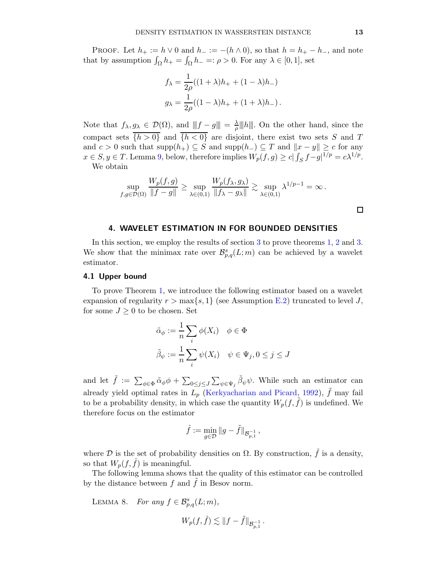PROOF. Let  $h_+ := h \vee 0$  and  $h_- := -(h \wedge 0)$ , so that  $h = h_+ - h_-,$  and note that by assumption  $\int_{\Omega} h_+ = \int_{\Omega} h_- =: \rho > 0$ . For any  $\lambda \in [0, 1]$ , set

$$
f_{\lambda} = \frac{1}{2\rho}((1 + \lambda)h_{+} + (1 - \lambda)h_{-})
$$

$$
g_{\lambda} = \frac{1}{2\rho}((1 - \lambda)h_{+} + (1 + \lambda)h_{-}).
$$

Note that  $f_{\lambda}, g_{\lambda} \in \mathcal{D}(\Omega)$ , and  $||f - g||| = \frac{\lambda}{\rho}$  $\frac{\lambda}{\rho}$ |||h|||. On the other hand, since the compact sets  $\overline{\{h>0\}}$  and  $\overline{\{h<0\}}$  are disjoint, there exist two sets S and T and  $c > 0$  such that  $\text{supp}(h_{+}) \subseteq S$  and  $\text{supp}(h_{-}) \subseteq T$  and  $||x - y|| \geq c$  for any  $x \in S, y \in T$ . Lemma [9,](#page-15-1) below, therefore implies  $W_p(f, g) \ge c | \int_S f - g |^{1/p} = c \lambda^{1/p}$ . We obtain

$$
\sup_{f,g\in\mathcal{D}(\Omega)}\frac{W_p(f,g)}{\|f-g\|}\geq \sup_{\lambda\in(0,1)}\frac{W_p(f_\lambda,g_\lambda)}{\|f_\lambda-g_\lambda\|}\gtrsim \sup_{\lambda\in(0,1)}\lambda^{1/p-1}=\infty.
$$

#### 4. WAVELET ESTIMATION IN FOR BOUNDED DENSITIES

<span id="page-12-0"></span>In this section, we employ the results of section [3](#page-7-0) to prove theorems [1,](#page-4-0) [2](#page-5-1) and [3.](#page-5-2) We show that the minimax rate over  $\mathcal{B}_{p,q}^s(L;m)$  can be achieved by a wavelet estimator.

#### 4.1 Upper bound

To prove Theorem [1,](#page-4-0) we introduce the following estimator based on a wavelet expansion of regularity  $r > \max\{s, 1\}$  (see Assumption [E.2\)](#page-32-1) truncated to level J, for some  $J \geq 0$  to be chosen. Set

$$
\tilde{\alpha}_{\phi} := \frac{1}{n} \sum_{i} \phi(X_i) \quad \phi \in \Phi
$$

$$
\tilde{\beta}_{\psi} := \frac{1}{n} \sum_{i} \psi(X_i) \quad \psi \in \Psi_j, 0 \le j \le J
$$

and let  $\tilde{f} := \sum_{\phi \in \Phi} \tilde{\alpha}_{\phi} \phi + \sum_{0 \leq j \leq J} \sum_{\psi \in \Psi_j} \tilde{\beta}_{\psi} \psi$ . While such an estimator can already yield optimal rates in  $L_p$  [\(Kerkyacharian and Picard](#page-34-18), [1992](#page-34-18)),  $\tilde{f}$  may fail to be a probability density, in which case the quantity  $W_p(f, \tilde{f})$  is undefined. We therefore focus on the estimator

$$
\hat{f}:=\min_{g\in\mathcal{D}}\|g-\tilde{f}\|_{\mathcal{B}^{-1}_{p,1}}\,,
$$

where  $\mathcal D$  is the set of probability densities on  $\Omega$ . By construction,  $\hat f$  is a density, so that  $W_p(f, \hat{f})$  is meaningful.

<span id="page-12-1"></span>The following lemma shows that the quality of this estimator can be controlled by the distance between f and  $\tilde{f}$  in Besov norm.

LEMMA 8. For any  $f \in \mathcal{B}_{p,q}^s(L; m)$ ,

$$
W_p(f, \hat{f}) \lesssim \|f - \tilde{f}\|_{\mathcal{B}_{p,1}^{-1}}.
$$

 $\Box$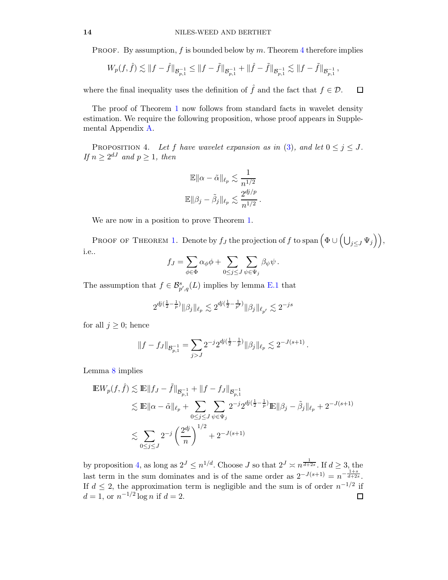PROOF. By assumption, f is bounded below by m. Theorem [4](#page-5-0) therefore implies

$$
W_p(f,\hat{f}) \lesssim \|f-\hat{f}\|_{\mathcal{B}_{p,1}^{-1}} \le \|f-\tilde{f}\|_{\mathcal{B}_{p,1}^{-1}} + \|\hat{f}-\tilde{f}\|_{\mathcal{B}_{p,1}^{-1}} \lesssim \|f-\tilde{f}\|_{\mathcal{B}_{p,1}^{-1}},
$$

where the final inequality uses the definition of  $\hat{f}$  and the fact that  $f \in \mathcal{D}$ .  $\Box$ 

The proof of Theorem [1](#page-4-0) now follows from standard facts in wavelet density estimation. We require the following proposition, whose proof appears in Supplemental Appendix [A.](#page-22-0)

<span id="page-13-0"></span>PROPOSITION 4. Let f have wavelet expansion as in [\(3\)](#page-7-3), and let  $0 \le j \le J$ . If  $n \geq 2^{dJ}$  and  $p \geq 1$ , then

$$
\mathbb{E} \|\alpha - \tilde{\alpha}\|_{\ell_p} \lesssim \frac{1}{n^{1/2}}
$$

$$
\mathbb{E} \|\beta_j - \tilde{\beta}_j\|_{\ell_p} \lesssim \frac{2^{dj/p}}{n^{1/2}}
$$

We are now in a position to prove Theorem [1.](#page-4-0)

PROOF OF THEOREM [1.](#page-4-0) Denote by  $f_J$  the projection of f to span  $(\Phi \cup (\bigcup_{j\leq J} \Psi_j))$ , i.e..

.

$$
f_J = \sum_{\phi \in \Phi} \alpha_{\phi} \phi + \sum_{0 \le j \le J} \sum_{\psi \in \Psi_j} \beta_{\psi} \psi.
$$

The assumption that  $f \in \mathcal{B}_{p',q}^{s}(L)$  implies by lemma [E.1](#page-32-4) that

$$
2^{dj(\frac{1}{2}-\frac{1}{p})}\|\beta_j\|_{\ell_p}\lesssim 2^{dj(\frac{1}{2}-\frac{1}{p'})}\|\beta_j\|_{\ell_{p'}}\lesssim 2^{-js}
$$

for all  $j \geq 0$ ; hence

$$
||f - f_J||_{\mathcal{B}_{p,1}^{-1}} = \sum_{j>J} 2^{-j} 2^{dj(\frac{1}{2} - \frac{1}{p})} ||\beta_j||_{\ell_p} \lesssim 2^{-J(s+1)}.
$$

Lemma [8](#page-12-1) implies

$$
\begin{aligned} \mathbb{E} W_p(f, \hat{f}) &\lesssim \mathbb{E} \|f_J - \tilde{f}\|_{\mathcal{B}_{p,1}^{-1}} + \|f - f_J\|_{\mathcal{B}_{p,1}^{-1}} \\ &\lesssim \mathbb{E} \|\alpha - \tilde{\alpha}\|_{\ell_p} + \sum_{0 \le j \le J} \sum_{\psi \in \Psi_j} 2^{-j} 2^{dj(\frac{1}{2} - \frac{1}{p})} \mathbb{E} \|\beta_j - \tilde{\beta}_j\|_{\ell_p} + 2^{-J(s+1)} \\ &\lesssim \sum_{0 \le j \le J} 2^{-j} \left(\frac{2^{dj}}{n}\right)^{1/2} + 2^{-J(s+1)} \end{aligned}
$$

by proposition [4,](#page-13-0) as long as  $2^J \leq n^{1/d}$ . Choose J so that  $2^J \approx n^{\frac{1}{d+2s}}$ . If  $d \geq 3$ , the last term in the sum dominates and is of the same order as  $2^{-J(s+1)} = n^{-\frac{1+s}{d+2s}}$ . If  $d \leq 2$ , the approximation term is negligible and the sum is of order  $n^{-1/2}$  if  $d = 1$ , or  $n^{-1/2} \log n$  if  $d = 2$ . 口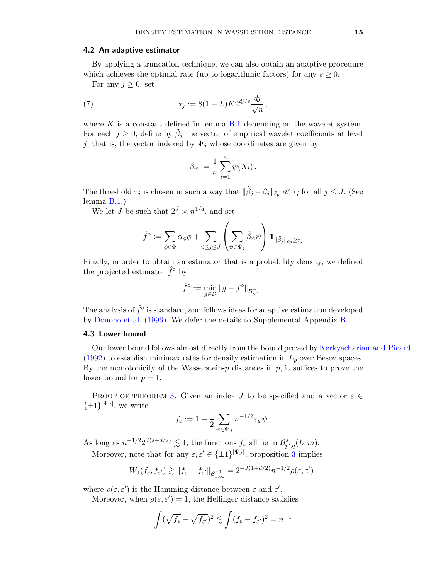#### 4.2 An adaptive estimator

By applying a truncation technique, we can also obtain an adaptive procedure which achieves the optimal rate (up to logarithmic factors) for any  $s \geq 0$ .

For any  $j \geq 0$ , set

<span id="page-14-0"></span>(7) 
$$
\tau_j := 8(1+L)K2^{dj/p}\frac{dj}{\sqrt{n}},
$$

where  $K$  is a constant defined in lemma [B.1](#page-25-0) depending on the wavelet system. For each  $j \geq 0$ , define by  $\tilde{\beta}_j$  the vector of empirical wavelet coefficients at level j, that is, the vector indexed by  $\Psi_j$  whose coordinates are given by

$$
\tilde{\beta}_{\psi} := \frac{1}{n} \sum_{i=1}^{n} \psi(X_i).
$$

The threshold  $\tau_j$  is chosen in such a way that  $\|\tilde{\beta}_j - \beta_j\|_{\ell_p} \ll \tau_j$  for all  $j \leq J$ . (See lemma [B.1.](#page-25-0))

We let *J* be such that  $2^J \approx n^{1/d}$ , and set

$$
\tilde{f}^{\circ} := \sum_{\phi \in \Phi} \tilde{\alpha}_{\phi} \phi + \sum_{0 \leq j \leq J} \left( \sum_{\psi \in \Psi_j} \tilde{\beta}_{\psi} \psi \right) 1_{\|\tilde{\beta}_j\|_{\ell_p} \geq \tau_j}
$$

Finally, in order to obtain an estimator that is a probability density, we defined the projected estimator  $\hat{f}^{\circ}$  by

$$
\hat{f}^{\circ} := \min_{g \in \mathcal{D}} \|g - \tilde{f}^{\circ}\|_{\mathcal{B}_{p,1}^{-1}}.
$$

The analysis of  $\hat{f}^{\circ}$  is standard, and follows ideas for adaptive estimation developed by [Donoho et al.](#page-33-4) [\(1996](#page-33-4)). We defer the details to Supplemental Appendix [B.](#page-25-1)

# 4.3 Lower bound

Our lower bound follows almost directly from the bound proved by [Kerkyacharian and Picard](#page-34-18) [\(1992\)](#page-34-18) to establish minimax rates for density estimation in  $L_p$  over Besov spaces. By the monotonicity of the Wasserstein- $p$  distances in  $p$ , it suffices to prove the lower bound for  $p = 1$ .

PROOF OF THEOREM [3.](#page-5-2) Given an index J to be specified and a vector  $\varepsilon \in \mathbb{C}$  $\{\pm 1\}^{|\Psi_J|}$ , we write

$$
f_\varepsilon:=1+\frac{1}{2}\sum_{\psi\in\Psi_J}n^{-1/2}\varepsilon_\psi\psi\,.
$$

As long as  $n^{-1/2}2^{J(s+d/2)} \lesssim 1$ , the functions  $f_{\varepsilon}$  all lie in  $\mathcal{B}_{p',q}^{s}(L;m)$ .

Moreover, note that for any  $\varepsilon, \varepsilon' \in {\{\pm 1\}}^{| \Psi_J |}$ , proposition [3](#page-10-1) implies

$$
W_1(f_{\varepsilon}, f_{\varepsilon'}) \gtrsim \|f_{\varepsilon} - f_{\varepsilon'}\|_{\mathcal{B}_{1,\infty}^{-1}} = 2^{-J(1+d/2)} n^{-1/2} \rho(\varepsilon, \varepsilon').
$$

where  $\rho(\varepsilon, \varepsilon')$  is the Hamming distance between  $\varepsilon$  and  $\varepsilon'$ .

Moreover, when  $\rho(\varepsilon, \varepsilon') = 1$ , the Hellinger distance satisfies

$$
\int (\sqrt{f_{\varepsilon}} - \sqrt{f_{\varepsilon'}})^2 \lesssim \int (f_{\varepsilon} - f_{\varepsilon'})^2 = n^{-1}
$$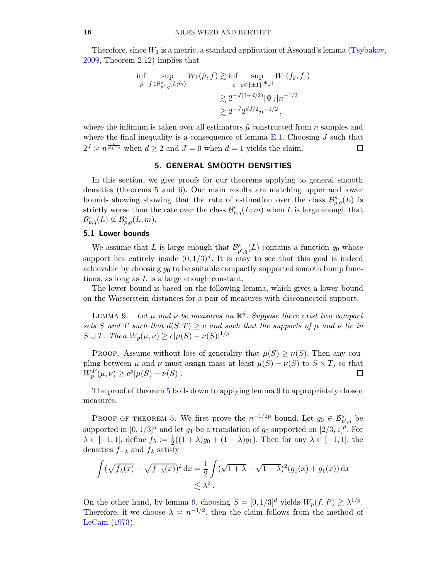Therefore, since  $W_1$  is a metric, a standard application of Assouad's lemma [\(Tsybakov](#page-34-5), [2009](#page-34-5), Theorem 2.12) implies that

$$
\inf_{\tilde{\mu}} \sup_{f \in \mathcal{B}^s_{p',q}(L;m)} W_1(\hat{\mu}, f) \gtrsim \inf_{\hat{\varepsilon}} \sup_{\varepsilon \in \{\pm 1\}^{|\Psi_J|}} W_1(f_{\hat{\varepsilon}}, f_{\varepsilon})
$$
\n
$$
\gtrsim 2^{-J(1+d/2)} |\Psi_J| n^{-1/2}
$$
\n
$$
\gtrsim 2^{-J} 2^{dJ/2} n^{-1/2},
$$

where the infimum is taken over all estimators  $\tilde{\mu}$  constructed from n samples and where the final inequality is a consequence of lemma [E.1.](#page-32-4) Choosing  $J$  such that  $2^J \times n^{\frac{1}{d+2s}}$  when  $d \geq 2$  and  $J = 0$  when  $d = 1$  yields the claim.  $\Box$ 

# 5. GENERAL SMOOTH DENSITIES

<span id="page-15-0"></span>In this section, we give proofs for our theorems applying to general smooth densities (theorems [5](#page-6-0) and [6\)](#page-6-1). Our main results are matching upper and lower bounds showing showing that the rate of estimation over the class  $\mathcal{B}_{p,q}^s(L)$  is strictly worse than the rate over the class  $\mathcal{B}_{p,q}^s(L;m)$  when L is large enough that  $\mathcal{B}^s_{p,q}(L) \nsubseteq \mathcal{B}^s_{p,q}(L;m).$ 

# 5.1 Lower bounds

We assume that L is large enough that  $\mathcal{B}^s_{p',q}(L)$  contains a function  $g_0$  whose support lies entirely inside  $(0, 1/3)^d$ . It is easy to see that this goal is indeed achievable by choosing  $g_0$  to be suitable compactly supported smooth bump functions, as long as  $L$  is a large enough constant.

<span id="page-15-1"></span>The lower bound is based on the following lemma, which gives a lower bound on the Wasserstein distances for a pair of measures with disconnected support.

LEMMA 9. Let  $\mu$  and  $\nu$  be measures on  $\mathbb{R}^d$ . Suppose there exist two compact sets S and T such that  $d(S,T) \geq c$  and such that the supports of  $\mu$  and  $\nu$  lie in  $S \cup T$ . Then  $W_p(\mu, \nu) \ge c |\mu(S) - \nu(S)|^{1/p}$ .

PROOF. Assume without loss of generality that  $\mu(S) \geq \nu(S)$ . Then any coupling between  $\mu$  and  $\nu$  must assign mass at least  $\mu(S) - \nu(S)$  to  $S \times T$ , so that  $W_n^P(\mu, \nu) > c^p |\mu(S) - \nu(S)|$ .  $W_p^P(\mu, \nu) \ge c^p |\mu(S) - \nu(S)|.$ 

The proof of theorem [5](#page-6-0) boils down to applying lemma [9](#page-15-1) to appropriately chosen measures.

PROOF OF THEOREM [5.](#page-6-0) We first prove the  $n^{-1/2p}$  bound. Let  $g_0 \in \mathcal{B}_{p',q}^s$  be supported in  $[0,1/3]^d$  and let  $g_1$  be a translation of  $g_0$  supported on  $[2/3,1]^d$ . For  $\lambda \in [-1,1],$  define  $f_{\lambda} := \frac{1}{2}((1 + \lambda)g_0 + (1 - \lambda)g_1)$ . Then for any  $\lambda \in [-1,1],$  the densities  $f_{-\lambda}$  and  $f_{\lambda}$  satisfy

$$
\int (\sqrt{f_{\lambda}(x)} - \sqrt{f_{-\lambda}(x)})^2 dx = \frac{1}{2} \int (\sqrt{1 + \lambda} - \sqrt{1 - \lambda})^2 (g_0(x) + g_1(x)) dx
$$
  

$$
\lesssim \lambda^2.
$$

On the other hand, by lemma [9,](#page-15-1) choosing  $S = [0, 1/3]^d$  yields  $W_p(f, f') \gtrsim \lambda^{1/p}$ . Therefore, if we choose  $\lambda \approx n^{-1/2}$ , then the claim follows from the method of [LeCam](#page-34-23) [\(1973](#page-34-23)).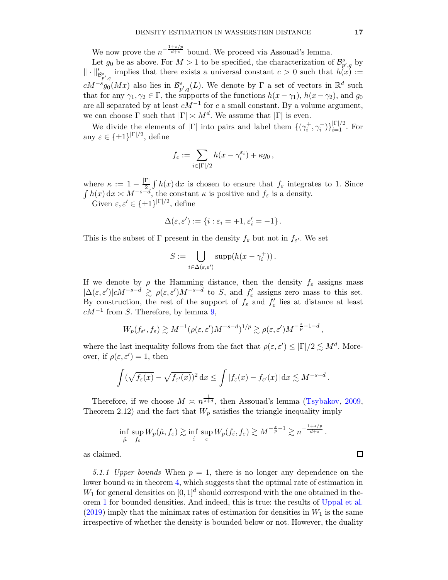We now prove the  $n^{-\frac{1+s/p}{d+s}}$  bound. We proceed via Assouad's lemma.

Let  $g_0$  be as above. For  $M > 1$  to be specified, the characterization of  $\mathcal{B}_{p',q}^s$  by  $\|\cdot\|'_{\mathcal{B}^s_{p',q}}$  implies that there exists a universal constant  $c > 0$  such that  $h(x) :=$  $cM^{-s}g_0(Mx)$  also lies in  $\mathcal{B}_{p',q}^s(L)$ . We denote by  $\Gamma$  a set of vectors in  $\mathbb{R}^d$  such that for any  $\gamma_1, \gamma_2 \in \Gamma$ , the supports of the functions  $h(x - \gamma_1)$ ,  $h(x - \gamma_2)$ , and  $g_0$ are all separated by at least  $cM^{-1}$  for c a small constant. By a volume argument, we can choose  $\Gamma$  such that  $|\Gamma| \approx M^d$ . We assume that  $|\Gamma|$  is even.

We divide the elements of  $|\Gamma|$  into pairs and label them  $\{(\gamma_i^+,\gamma_i^-)\}_{i=1}^{|\Gamma|/2}$ . For any  $\varepsilon \in {\pm 1\}^{|\Gamma|/2}$ , define

$$
f_{\varepsilon} := \sum_{i \in |\Gamma|/2} h(x - \gamma_i^{\varepsilon_i}) + \kappa g_0 ,
$$

where  $\kappa := 1 - \frac{|\Gamma|}{2}$  $\frac{1}{2} \int h(x) dx$  is chosen to ensure that  $f_{\varepsilon}$  integrates to 1. Since  $\int h(x) dx \approx M^{-s-d}$ , the constant  $\kappa$  is positive and  $f_{\varepsilon}$  is a density. Given  $\varepsilon, \varepsilon' \in \{\pm 1\}^{|\Gamma|/2}$ , define

$$
\Delta(\varepsilon,\varepsilon'):=\left\{i:\varepsilon_i=+1,\varepsilon'_i=-1\right\}.
$$

This is the subset of  $\Gamma$  present in the density  $f_{\varepsilon}$  but not in  $f_{\varepsilon'}$ . We set

$$
S := \bigcup_{i \in \Delta(\varepsilon, \varepsilon')} \operatorname{supp}(h(x - \gamma_i^+)) \, .
$$

If we denote by  $\rho$  the Hamming distance, then the density  $f_{\varepsilon}$  assigns mass  $|\Delta(\varepsilon, \varepsilon')| c M^{-s-d} \gtrsim \rho(\varepsilon, \varepsilon') M^{-s-d}$  to S, and  $f'_{\varepsilon}$  assigns zero mass to this set. By construction, the rest of the support of  $f_{\varepsilon}$  and  $f'_{\varepsilon}$  lies at distance at least  $cM^{-1}$  from S. Therefore, by lemma [9,](#page-15-1)

$$
W_p(f_{\varepsilon'}, f_{\varepsilon}) \gtrsim M^{-1}(\rho(\varepsilon, \varepsilon')M^{-s-d})^{1/p} \gtrsim \rho(\varepsilon, \varepsilon')M^{-\frac{s}{p}-1-d},
$$

where the last inequality follows from the fact that  $\rho(\varepsilon, \varepsilon') \leq |\Gamma|/2 \lesssim M^d$ . Moreover, if  $\rho(\varepsilon, \varepsilon') = 1$ , then

$$
\int (\sqrt{f_{\varepsilon}(x)} - \sqrt{f_{\varepsilon'}(x)})^2 dx \le \int |f_{\varepsilon}(x) - f_{\varepsilon'}(x)| dx \lesssim M^{-s-d}.
$$

Therefore, if we choose  $M \n\leq n^{\frac{1}{s+d}}$ , then Assouad's lemma [\(Tsybakov](#page-34-5), [2009](#page-34-5), Theorem 2.12) and the fact that  $W_p$  satisfies the triangle inequality imply

$$
\inf_{\hat{\mu}} \sup_{f_{\varepsilon}} W_p(\hat{\mu}, f_{\varepsilon}) \gtrsim \inf_{\hat{\varepsilon}} \sup_{\varepsilon} W_p(f_{\hat{\varepsilon}}, f_{\varepsilon}) \gtrsim M^{-\frac{s}{p}-1} \gtrsim n^{-\frac{1+s/p}{d+s}}.
$$

as claimed.

5.1.1 Upper bounds When  $p = 1$ , there is no longer any dependence on the lower bound  $m$  in theorem [4,](#page-5-0) which suggests that the optimal rate of estimation in  $W_1$  for general densities on  $[0,1]^d$  should correspond with the one obtained in theorem [1](#page-4-0) for bounded densities. And indeed, this is true: the results of [Uppal et al.](#page-34-24) [\(2019\)](#page-34-24) imply that the minimax rates of estimation for densities in  $W_1$  is the same irrespective of whether the density is bounded below or not. However, the duality

 $\Box$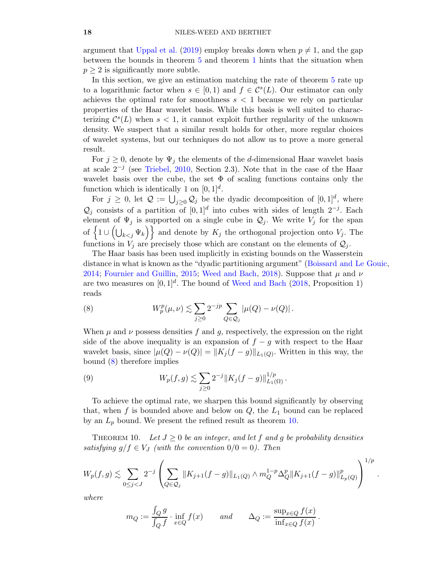argument that [Uppal et al.](#page-34-24) [\(2019](#page-34-24)) employ breaks down when  $p \neq 1$ , and the gap between the bounds in theorem [5](#page-6-0) and theorem [1](#page-4-0) hints that the situation when  $p > 2$  is significantly more subtle.

In this section, we give an estimation matching the rate of theorem [5](#page-6-0) rate up to a logarithmic factor when  $s \in [0,1)$  and  $f \in C<sup>s</sup>(L)$ . Our estimator can only achieves the optimal rate for smoothness  $s < 1$  because we rely on particular properties of the Haar wavelet basis. While this basis is well suited to characterizing  $\mathcal{C}^s(L)$  when  $s < 1$ , it cannot exploit further regularity of the unknown density. We suspect that a similar result holds for other, more regular choices of wavelet systems, but our techniques do not allow us to prove a more general result.

For  $j \geq 0$ , denote by  $\Psi_j$  the elements of the d-dimensional Haar wavelet basis at scale  $2^{-j}$  (see [Triebel](#page-34-21), [2010](#page-34-21), Section 2.3). Note that in the case of the Haar wavelet basis over the cube, the set  $\Phi$  of scaling functions contains only the function which is identically 1 on  $[0,1]^d$ .

For  $j \geq 0$ , let  $\mathcal{Q} := \bigcup_{j\geq 0} \mathcal{Q}_j$  be the dyadic decomposition of  $[0,1]^d$ , where  $\mathcal{Q}_j$  consists of a partition of  $[0,1]^d$  into cubes with sides of length  $2^{-j}$ . Each element of  $\Psi_j$  is supported on a single cube in  $\mathcal{Q}_j$ . We write  $V_j$  for the span of  $\left\{1 \cup \left(\bigcup_{k < j} \Psi_k\right)\right\}$  and denote by  $K_j$  the orthogonal projection onto  $V_j$ . The functions in  $V_j$  are precisely those which are constant on the elements of  $\mathcal{Q}_j$ .

The Haar basis has been used implicitly in existing bounds on the Wasserstein distance in what is known as the "dyadic partitioning argument" [\(Boissard and Le Gouic](#page-33-11), [2014](#page-33-11); [Fournier and Guillin](#page-33-12), [2015](#page-33-12); [Weed and Bach](#page-35-0), [2018\)](#page-35-0). Suppose that  $\mu$  and  $\nu$ are two measures on  $[0,1]^d$ . The bound of [Weed and Bach](#page-35-0) [\(2018](#page-35-0), Proposition 1) reads

<span id="page-17-0"></span>(8) 
$$
W_p^p(\mu,\nu) \lesssim \sum_{j\geq 0} 2^{-jp} \sum_{Q \in \mathcal{Q}_j} |\mu(Q) - \nu(Q)|.
$$

When  $\mu$  and  $\nu$  possess densities f and q, respectively, the expression on the right side of the above inequality is an expansion of  $f - g$  with respect to the Haar wavelet basis, since  $|\mu(Q) - \nu(Q)| = ||K_j(f - g)||_{L_1(Q)}$ . Written in this way, the bound [\(8\)](#page-17-0) therefore implies

<span id="page-17-2"></span>(9) 
$$
W_p(f,g) \lesssim \sum_{j\geq 0} 2^{-j} \|K_j(f-g)\|_{L_1(\Omega)}^{1/p}.
$$

To achieve the optimal rate, we sharpen this bound significantly by observing that, when f is bounded above and below on  $Q$ , the  $L_1$  bound can be replaced by an  $L_p$  bound. We present the refined result as theorem [10.](#page-17-1)

<span id="page-17-1"></span>THEOREM 10. Let  $J \geq 0$  be an integer, and let f and g be probability densities satisfying  $g/f \in V_J$  (with the convention  $0/0 = 0$ ). Then

$$
W_p(f,g) \lesssim \sum_{0 \le j < J} 2^{-j} \left( \sum_{Q \in \mathcal{Q}_j} \|K_{j+1}(f-g)\|_{L_1(Q)} \wedge m_Q^{1-p} \Delta_Q^p \|K_{j+1}(f-g)\|_{L_p(Q)}^p \right)^{1/p}.
$$

where

$$
m_Q := \frac{\int_Q g}{\int_Q f} \cdot \inf_{x \in Q} f(x) \qquad and \qquad \Delta_Q := \frac{\sup_{x \in Q} f(x)}{\inf_{x \in Q} f(x)}.
$$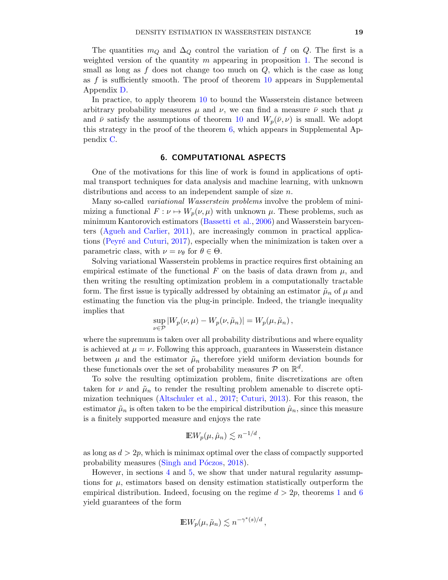The quantities  $m_Q$  and  $\Delta_Q$  control the variation of f on Q. The first is a weighted version of the quantity  $m$  appearing in proposition [1.](#page-7-2) The second is small as long as  $f$  does not change too much on  $Q$ , which is the case as long as  $f$  is sufficiently smooth. The proof of theorem [10](#page-17-1) appears in Supplemental Appendix [D.](#page-30-0)

In practice, to apply theorem [10](#page-17-1) to bound the Wasserstein distance between arbitrary probability measures  $\mu$  and  $\nu$ , we can find a measure  $\bar{\nu}$  such that  $\mu$ and  $\bar{\nu}$  satisfy the assumptions of theorem [10](#page-17-1) and  $W_p(\bar{\nu}, \nu)$  is small. We adopt this strategy in the proof of the theorem [6,](#page-6-1) which appears in Supplemental Appendix [C.](#page-27-0)

# 6. COMPUTATIONAL ASPECTS

<span id="page-18-0"></span>One of the motivations for this line of work is found in applications of optimal transport techniques for data analysis and machine learning, with unknown distributions and access to an independent sample of size n.

Many so-called variational Wasserstein problems involve the problem of minimizing a functional  $F : \nu \mapsto W_p(\nu, \mu)$  with unknown  $\mu$ . These problems, such as minimum Kantorovich estimators [\(Bassetti et al.](#page-33-13), [2006](#page-33-13)) and Wasserstein barycenters [\(Agueh and Carlier](#page-33-14), [2011](#page-33-14)), are increasingly common in practical applica-tions (Peyré and Cuturi, [2017\)](#page-34-3), especially when the minimization is taken over a parametric class, with  $\nu = \nu_{\theta}$  for  $\theta \in \Theta$ .

Solving variational Wasserstein problems in practice requires first obtaining an empirical estimate of the functional F on the basis of data drawn from  $\mu$ , and then writing the resulting optimization problem in a computationally tractable form. The first issue is typically addressed by obtaining an estimator  $\tilde{\mu}_n$  of  $\mu$  and estimating the function via the plug-in principle. Indeed, the triangle inequality implies that

$$
\sup_{\nu \in \mathcal{P}} |W_p(\nu,\mu) - W_p(\nu,\tilde{\mu}_n)| = W_p(\mu,\tilde{\mu}_n),
$$

where the supremum is taken over all probability distributions and where equality is achieved at  $\mu = \nu$ . Following this approach, guarantees in Wasserstein distance between  $\mu$  and the estimator  $\tilde{\mu}_n$  therefore yield uniform deviation bounds for these functionals over the set of probability measures  $P$  on  $\mathbb{R}^d$ .

To solve the resulting optimization problem, finite discretizations are often taken for  $\nu$  and  $\tilde{\mu}_n$  to render the resulting problem amenable to discrete optimization techniques [\(Altschuler et al.](#page-33-0), [2017](#page-33-0); [Cuturi](#page-33-1), [2013](#page-33-1)). For this reason, the estimator  $\tilde{\mu}_n$  is often taken to be the empirical distribution  $\hat{\mu}_n$ , since this measure is a finitely supported measure and enjoys the rate

$$
\mathbb{E} W_p(\mu, \hat{\mu}_n) \lesssim n^{-1/d},
$$

as long as  $d > 2p$ , which is minimax optimal over the class of compactly supported probability measures (Singh and Póczos, [2018](#page-34-4)).

However, in sections [4](#page-12-0) and [5,](#page-15-0) we show that under natural regularity assumptions for  $\mu$ , estimators based on density estimation statistically outperform the empirical distribution. Indeed, focusing on the regime  $d > 2p$ , theorems [1](#page-4-0) and [6](#page-6-1) yield guarantees of the form

$$
\mathbb{E} W_p(\mu, \tilde{\mu}_n) \lesssim n^{-\gamma^*(s)/d} \,,
$$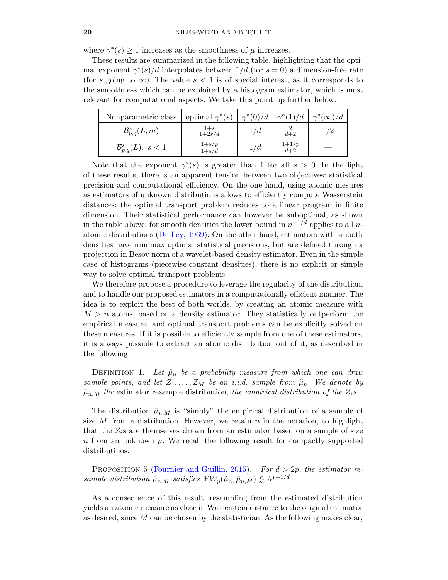where  $\gamma^*(s) \geq 1$  increases as the smoothness of  $\mu$  increases.

These results are summarized in the following table, highlighting that the optimal exponent  $\gamma^*(s)/d$  interpolates between  $1/d$  (for  $s = 0$ ) a dimension-free rate (for s going to  $\infty$ ). The value  $s < 1$  is of special interest, as it corresponds to the smoothness which can be exploited by a histogram estimator, which is most relevant for computational aspects. We take this point up further below.

| Nonparametric class                | optimal $\gamma^*(s)$ | $\gamma^*(0)/d$ | $\gamma^*(1)/d$ | $\gamma^*(\infty)/d$ |
|------------------------------------|-----------------------|-----------------|-----------------|----------------------|
| $\mathcal{B}_{p,q}^s(L;m)$         | $\overline{1+2s/d}$   | 1/d             | $d+2$           |                      |
| $\mathcal{B}_{p,q}^s(L)$ , $s < 1$ | $1+ s/p$<br>$1 + s/d$ | 1/d             | $+1/p$<br>$d+2$ |                      |

Note that the exponent  $\gamma^*(s)$  is greater than 1 for all  $s > 0$ . In the light of these results, there is an apparent tension between two objectives: statistical precision and computational efficiency. On the one hand, using atomic mesures as estimators of unknown distributions allows to efficiently compute Wasserstein distances: the optimal transport problem reduces to a linear program in finite dimension. Their statistical performance can however be suboptimal, as shown in the table above: for smooth densities the lower bound in  $n^{-1/d}$  applies to all natomic distributions [\(Dudley](#page-33-15), [1969](#page-33-15)). On the other hand, estimators with smooth densities have minimax optimal statistical precisions, but are defined through a projection in Besov norm of a wavelet-based density estimator. Even in the simple case of histograms (piecewise-constant densities), there is no explicit or simple way to solve optimal transport problems.

We therefore propose a procedure to leverage the regularity of the distribution, and to handle our proposed estimators in a computationally efficient manner. The idea is to exploit the best of both worlds, by creating an atomic measure with  $M > n$  atoms, based on a density estimator. They statistically outperform the empirical measure, and optimal transport problems can be explicitly solved on these measures. If it is possible to efficiently sample from one of these estimators, it is always possible to extract an atomic distribution out of it, as described in the following

DEFINITION 1. Let  $\tilde{\mu}_n$  be a probability measure from which one can draw sample points, and let  $Z_1, \ldots, Z_M$  be an i.i.d. sample from  $\tilde{\mu}_n$ . We denote by  $\bar{\mu}_{n,M}$  the estimator resample distribution, the empirical distribution of the  $Z_i$ s.

The distribution  $\bar{\mu}_{n,M}$  is "simply" the empirical distribution of a sample of size M from a distribution. However, we retain n in the notation, to highlight that the  $Z_i$ s are themselves drawn from an estimator based on a sample of size n from an unknown  $\mu$ . We recall the following result for compactly supported distributinos.

PROPOSITION 5 [\(Fournier and Guillin](#page-33-12), [2015\)](#page-33-12). For  $d > 2p$ , the estimator resample distribution  $\bar{\mu}_{n,M}$  satisfies  $\mathbb{E} W_p(\tilde{\mu}_n, \bar{\mu}_{n,M}) \lesssim M^{-1/d}$ .

As a consequence of this result, resampling from the estimated distribution yields an atomic measure as close in Wasserstein distance to the original estimator as desired, since  $M$  can be chosen by the statistician. As the following makes clear,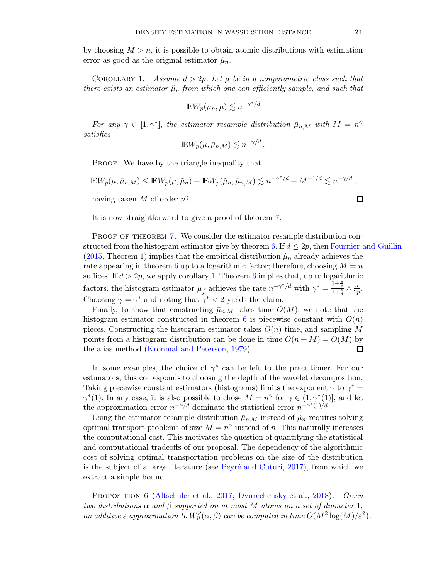<span id="page-20-0"></span>by choosing  $M > n$ , it is possible to obtain atomic distributions with estimation error as good as the original estimator  $\tilde{\mu}_n$ .

COROLLARY 1. Assume  $d > 2p$ . Let  $\mu$  be in a nonparametric class such that there exists an estimator  $\tilde{\mu}_n$  from which one can efficiently sample, and such that

$$
\mathbb{E} W_p(\tilde{\mu}_n,\mu) \lesssim n^{-\gamma^*/d}
$$

For any  $\gamma \in [1, \gamma^*]$ , the estimator resample distribution  $\bar{\mu}_{n,M}$  with  $M = n^{\gamma}$ satisfies

$$
\mathbb{E}W_p(\mu,\bar{\mu}_{n,M}) \lesssim n^{-\gamma/d}
$$

.

PROOF. We have by the triangle inequality that

 $\mathbb{E} W_p(\mu, \bar{\mu}_{n,M}) \leq \mathbb{E} W_p(\mu, \tilde{\mu}_n) + \mathbb{E} W_p(\tilde{\mu}_n, \bar{\mu}_{n,M}) \lesssim n^{-\gamma^*/d} + M^{-1/d} \lesssim n^{-\gamma/d},$ having taken M of order  $n^{\gamma}$ .  $\Box$ 

It is now straightforward to give a proof of theorem [7.](#page-6-2)

PROOF OF THEOREM [7.](#page-6-2) We consider the estimator resample distribution con-structed from the histogram estimator give by theorem [6.](#page-6-1) If  $d \leq 2p$ , then [Fournier and Guillin](#page-33-12) [\(2015,](#page-33-12) Theorem 1) implies that the empirical distribution  $\hat{\mu}_n$  already achieves the rate appearing in theorem [6](#page-6-1) up to a logarithmic factor; therefore, choosing  $M = n$ suffices. If  $d > 2p$ , we apply corollary [1.](#page-20-0) Theorem [6](#page-6-1) implies that, up to logarithmic factors, the histogram estimator  $\mu_{\hat{f}}$  achieves the rate  $n^{-\gamma^*/d}$  with  $\gamma^* = \frac{1+\frac{s}{p}}{1+\frac{s}{d}} \wedge \frac{d}{2p}$  $\frac{a}{2p}$ . Choosing  $\gamma = \gamma^*$  and noting that  $\gamma^* < 2$  yields the claim.

Finally, to show that constructing  $\bar{\mu}_{n,M}$  takes time  $O(M)$ , we note that the histogram estimator constructed in theorem [6](#page-6-1) is piecewise constant with  $O(n)$ pieces. Constructing the histogram estimator takes  $O(n)$  time, and sampling M points from a histogram distribution can be done in time  $O(n + M) = O(M)$  by the alias method [\(Kronmal and Peterson](#page-34-25), [1979\)](#page-34-25). □

In some examples, the choice of  $\gamma^*$  can be left to the practitioner. For our estimators, this corresponds to choosing the depth of the wavelet decomposition. Taking piecewise constant estimators (histograms) limits the exponent  $\gamma$  to  $\gamma^* =$  $\gamma^*(1)$ . In any case, it is also possible to chose  $M = n^{\gamma}$  for  $\gamma \in (1, \gamma^*(1)]$ , and let the approximation error  $n^{-\gamma/d}$  dominate the statistical error  $n^{-\gamma^*(1)/d}$ .

Using the estimator resample distribution  $\bar{\mu}_{n,M}$  instead of  $\hat{\mu}_n$  requires solving optimal transport problems of size  $M = n^{\gamma}$  instead of n. This naturally increases the computational cost. This motivates the question of quantifying the statistical and computational tradeoffs of our proposal. The dependency of the algorithmic cost of solving optimal transportation problems on the size of the distribution is the subject of a large literature (see Peyré and Cuturi,  $2017$ ), from which we extract a simple bound.

<span id="page-20-1"></span>PROPOSITION 6 [\(Altschuler et al.](#page-33-0), [2017;](#page-33-0) [Dvurechensky et al.](#page-33-16), [2018](#page-33-16)). Given two distributions  $\alpha$  and  $\beta$  supported on at most M atoms on a set of diameter 1, an additive  $\varepsilon$  approximation to  $W_p^p(\alpha,\beta)$  can be computed in time  $O(M^2 \log(M)/\varepsilon^2)$ .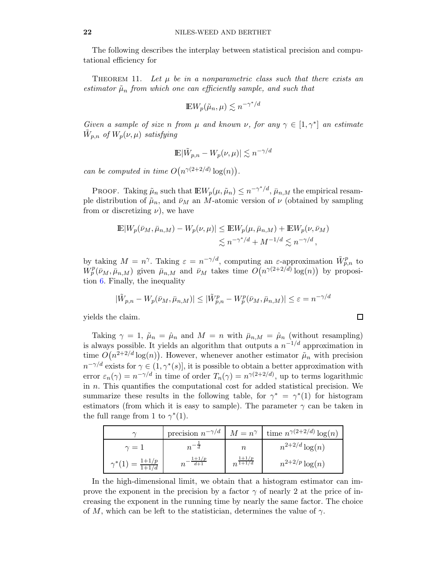The following describes the interplay between statistical precision and computational efficiency for

THEOREM 11. Let  $\mu$  be in a nonparametric class such that there exists an estimator  $\tilde{\mu}_n$  from which one can efficiently sample, and such that

$$
\mathbb{E}W_p(\tilde{\mu}_n,\mu) \lesssim n^{-\gamma^*/d}
$$

Given a sample of size n from  $\mu$  and known  $\nu$ , for any  $\gamma \in [1, \gamma^*]$  an estimate  $\tilde{W}_{p,n}$  of  $W_p(\nu,\mu)$  satisfying

$$
\mathbb{E}|\tilde{W}_{p,n} - W_p(\nu,\mu)| \lesssim n^{-\gamma/d}
$$

can be computed in time  $O(n^{\gamma(2+2/d)} \log(n)).$ 

PROOF. Taking  $\tilde{\mu}_n$  such that  $\mathbb{E}W_p(\mu, \tilde{\mu}_n) \leq n^{-\gamma^*/d}, \bar{\mu}_{n,M}$  the empirical resample distribution of  $\tilde{\mu}_n$ , and  $\bar{\nu}_M$  an M-atomic version of  $\nu$  (obtained by sampling from or discretizing  $\nu$ , we have

$$
\mathbb{E}|W_p(\bar{\nu}_M, \bar{\mu}_{n,M}) - W_p(\nu, \mu)| \le \mathbb{E}W_p(\mu, \bar{\mu}_{n,M}) + \mathbb{E}W_p(\nu, \bar{\nu}_M)
$$
  

$$
\lesssim n^{-\gamma^*/d} + M^{-1/d} \lesssim n^{-\gamma/d},
$$

by taking  $M = n^{\gamma}$ . Taking  $\varepsilon = n^{-\gamma/d}$ , computing an  $\varepsilon$ -approximation  $\tilde{W}_{p,n}^p$  to  $W_p^p(\bar{\nu}_M, \bar{\mu}_{n,M})$  given  $\bar{\mu}_{n,M}$  and  $\bar{\nu}_M$  takes time  $O(n^{\gamma(2+2/d)}) \log(n)$  by proposition [6.](#page-20-1) Finally, the inequality

$$
|\tilde{W}_{p,n} - W_p(\bar{\nu}_M, \bar{\mu}_{n,M})| \le |\tilde{W}_{p,n}^p - W_p^p(\bar{\nu}_M, \bar{\mu}_{n,M})| \le \varepsilon = n^{-\gamma/d}
$$

yields the claim.

Taking  $\gamma = 1$ ,  $\tilde{\mu}_n = \hat{\mu}_n$  and  $M = n$  with  $\bar{\mu}_{n,M} = \hat{\mu}_n$  (without resampling) is always possible. It yields an algorithm that outputs a  $n^{-1/d}$  approximation in time  $O(n^{2+2/d} \log(n))$ . However, whenever another estimator  $\tilde{\mu}_n$  with precision  $n^{-\gamma/d}$  exists for  $\gamma \in (1, \gamma^*(s)]$ , it is possible to obtain a better approximation with error  $\varepsilon_n(\gamma) = n^{-\gamma/d}$  in time of order  $T_n(\gamma) = n^{\gamma(2+2/d)}$ , up to terms logarithmic in n. This quantifies the computational cost for added statistical precision. We summarize these results in the following table, for  $\gamma^* = \gamma^*(1)$  for histogram estimators (from which it is easy to sample). The parameter  $\gamma$  can be taken in the full range from 1 to  $\gamma^*(1)$ .

| $\sim$                   | precision $n^{-\gamma/d}$ |                        | $M = n^{\gamma}$ time $n^{\gamma(2+2/d)} \log(n)$ |
|--------------------------|---------------------------|------------------------|---------------------------------------------------|
| $\gamma = 1$             |                           | $\it n$                | $n^{2+2/d} \log(n)$                               |
| $\gamma^*(1)$<br>$1+1/d$ | $\frac{1+1/p}{d+1}$       | $1+1/p$<br>$n^{1+1/d}$ | $n^{2+2/p} \log(n)$                               |

In the high-dimensional limit, we obtain that a histogram estimator can improve the exponent in the precision by a factor  $\gamma$  of nearly 2 at the price of increasing the exponent in the running time by nearly the same factor. The choice of M, which can be left to the statistician, determines the value of  $\gamma$ .

$$
\Box
$$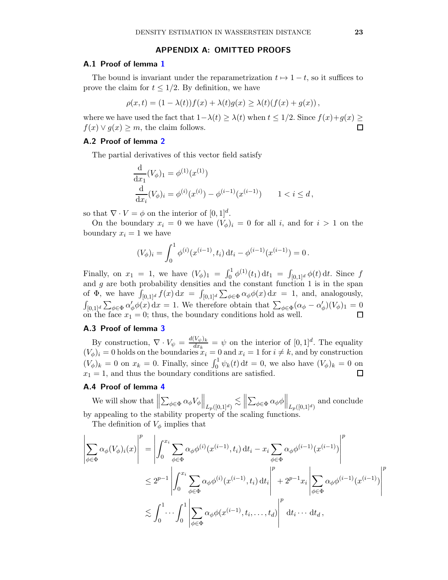#### APPENDIX A: OMITTED PROOFS

## <span id="page-22-0"></span>A.1 Proof of lemma [1](#page-8-2)

The bound is invariant under the reparametrization  $t \mapsto 1-t$ , so it suffices to prove the claim for  $t \leq 1/2$ . By definition, we have

$$
\rho(x,t) = (1 - \lambda(t))f(x) + \lambda(t)g(x) \ge \lambda(t)(f(x) + g(x)),
$$

where we have used the fact that  $1-\lambda(t) \geq \lambda(t)$  when  $t \leq 1/2$ . Since  $f(x)+g(x) \geq$ <br> $f(x) \vee g(x) > m$ , the claim follows  $f(x) \vee g(x) \geq m$ , the claim follows.

# A.2 Proof of lemma [2](#page-9-2)

The partial derivatives of this vector field satisfy

$$
\frac{d}{dx_1}(V_{\phi})_1 = \phi^{(1)}(x^{(1)})
$$
  

$$
\frac{d}{dx_i}(V_{\phi})_i = \phi^{(i)}(x^{(i)}) - \phi^{(i-1)}(x^{(i-1)}) \qquad 1 < i \le d,
$$

so that  $\nabla \cdot V = \phi$  on the interior of  $[0, 1]^d$ .

On the boundary  $x_i = 0$  we have  $(V_{\phi})_i = 0$  for all i, and for  $i > 1$  on the boundary  $x_i = 1$  we have

$$
(V_{\phi})_i = \int_0^1 \phi^{(i)}(x^{(i-1)}, t_i) dt_i - \phi^{(i-1)}(x^{(i-1)}) = 0.
$$

Finally, on  $x_1 = 1$ , we have  $(V_{\phi})_1 = \int_0^1 \phi^{(1)}(t_1) dt_1 = \int_{[0,1]^d} \phi(t) dt$ . Since f and  $g$  are both probability densities and the constant function 1 is in the span of  $\Phi$ , we have  $\int_{[0,1]^d} f(x) dx = \int_{[0,1]^d} \sum_{\phi \in \Phi} \alpha_{\phi} \phi(x) dx = 1$ , and, analogously,  $\int_{[0,1]^d} \sum_{\phi \in \Phi} \alpha'_{\phi} \phi(x) dx = 1$ . We therefore obtain that  $\sum_{\phi \in \Phi} (\alpha_{\phi} - \alpha'_{\phi})(V_{\phi})_1 = 0$ on the face  $x_1 = 0$ ; thus, the boundary conditions hold as well. П

# A.3 Proof of lemma [3](#page-10-2)

By construction,  $\nabla \cdot V_{\psi} = \frac{d(V_{\psi})_k}{dx_k}$  $\frac{\partial V_{\psi}\}_{k}}{dx_{k}} = \psi$  on the interior of  $[0, 1]^{d}$ . The equality  $(V_{\phi})_i = 0$  holds on the boundaries  $x_i = 0$  and  $x_i = 1$  for  $i \neq k$ , and by construction  $(V_{\phi})_k = 0$  on  $x_k = 0$ . Finally, since  $\int_0^1 \psi_k(t) dt = 0$ , we also have  $(V_{\phi})_k = 0$  on  $x_1 = 1$ , and thus the boundary conditions are satisfied. 口

# A.4 Proof of lemma [4](#page-10-3)

We will show that  $\parallel$  $\sum_{\phi \in \Phi} \alpha_{\phi} V_{\phi} \Big\|_{L_p([0,1]^d)} \lesssim \Big\|$  $\sum_{\phi \in \Phi} \alpha_{\phi} \phi \left\|_{L_p([0,1]^d)} \right.$  and conclude by appealing to the stability property of the scaling functions.

The definition of  $V_{\phi}$  implies that

$$
\left| \sum_{\phi \in \Phi} \alpha_{\phi}(V_{\phi})_i(x) \right|^p = \left| \int_0^{x_i} \sum_{\phi \in \Phi} \alpha_{\phi} \phi^{(i)}(x^{(i-1)}, t_i) dt_i - x_i \sum_{\phi \in \Phi} \alpha_{\phi} \phi^{(i-1)}(x^{(i-1)}) \right|^p
$$
  

$$
\leq 2^{p-1} \left| \int_0^{x_i} \sum_{\phi \in \Phi} \alpha_{\phi} \phi^{(i)}(x^{(i-1)}, t_i) dt_i \right|^p + 2^{p-1} x_i \left| \sum_{\phi \in \Phi} \alpha_{\phi} \phi^{(i-1)}(x^{(i-1)}) \right|^p
$$
  

$$
\lesssim \int_0^1 \cdots \int_0^1 \left| \sum_{\phi \in \Phi} \alpha_{\phi} \phi(x^{(i-1)}, t_i, \dots, t_d) \right|^p dt_i \cdots dt_d,
$$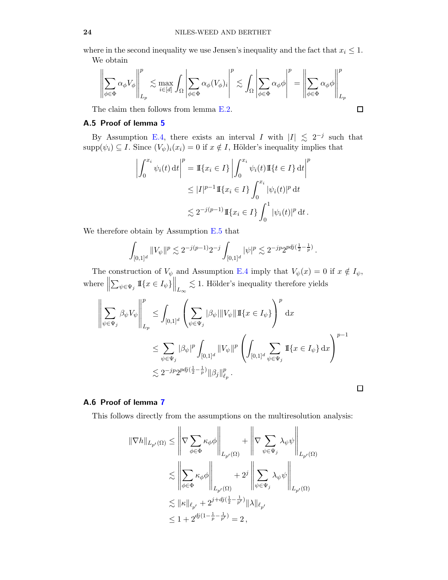where in the second inequality we use Jensen's inequality and the fact that  $x_i \leq 1$ . We obtain

$$
\left\| \sum_{\phi \in \Phi} \alpha_{\phi} V_{\phi} \right\|_{L_p}^p \lesssim \max_{i \in [d]} \int_{\Omega} \left| \sum_{\phi \in \Phi} \alpha_{\phi} (V_{\phi})_i \right|^p \lesssim \int_{\Omega} \left| \sum_{\phi \in \Phi} \alpha_{\phi} \phi \right|^p = \left\| \sum_{\phi \in \Phi} \alpha_{\phi} \phi \right\|_{L_p}^p
$$

 $\Box$ 

 $\Box$ 

The claim then follows from lemma [E.2.](#page-33-17)

# A.5 Proof of lemma [5](#page-10-4)

By Assumption [E.4,](#page-32-5) there exists an interval I with  $|I| \leq 2^{-j}$  such that supp $(\psi_i) \subseteq I$ . Since  $(V_{\psi})_i(x_i) = 0$  if  $x \notin I$ , Hölder's inequality implies that

$$
\left| \int_0^{x_i} \psi_i(t) dt \right|^p = \mathbb{I}\{x_i \in I\} \left| \int_0^{x_i} \psi_i(t) \mathbb{I}\{t \in I\} dt \right|^p
$$
  
\n
$$
\leq |I|^{p-1} \mathbb{I}\{x_i \in I\} \int_0^{x_i} |\psi_i(t)|^p dt
$$
  
\n
$$
\lesssim 2^{-j(p-1)} \mathbb{I}\{x_i \in I\} \int_0^1 |\psi_i(t)|^p dt.
$$

We therefore obtain by Assumption  $E.5$  that

$$
\int_{[0,1]^d} \|V_{\psi}\|^p \lesssim 2^{-j(p-1)} 2^{-j} \int_{[0,1]^d} |\psi|^p \lesssim 2^{-jp} 2^{pdj(\frac{1}{2}-\frac{1}{p})}.
$$

The construction of  $V_{\psi}$  and Assumption [E.4](#page-32-5) imply that  $V_{\psi}(x) = 0$  if  $x \notin I_{\psi}$ , where  $\parallel$  $\sum_{\psi \in \Psi_j} \mathbb{I}\{x \in I_{\psi}\}\Big\|_{L_{\infty}} \lesssim 1.$  Hölder's inequality therefore yields

$$
\left\| \sum_{\psi \in \Psi_j} \beta_{\psi} V_{\psi} \right\|_{L_p}^p \le \int_{[0,1]^d} \left( \sum_{\psi \in \Psi_j} |\beta_{\psi}| \|V_{\psi}\| \mathbb{1}\{x \in I_{\psi}\} \right)^p dx
$$
  

$$
\le \sum_{\psi \in \Psi_j} |\beta_{\psi}|^p \int_{[0,1]^d} \|V_{\psi}\|^p \left( \int_{[0,1]^d} \sum_{\psi \in \Psi_j} \mathbb{1}\{x \in I_{\psi}\} dx \right)^{p-1}
$$
  

$$
\lesssim 2^{-jp} 2^{pdj\left(\frac{1}{2} - \frac{1}{p}\right)} \|\beta_j\|_{\ell_p}^p.
$$

# A.6 Proof of lemma [7](#page-11-3)

This follows directly from the assumptions on the multiresolution analysis:

$$
\begin{aligned} \|\nabla h\|_{L_{p'}(\Omega)} & \leq \left\|\nabla \sum_{\phi \in \Phi} \kappa_{\phi} \phi \right\|_{L_{p'}(\Omega)} + \left\|\nabla \sum_{\psi \in \Psi_j} \lambda_{\psi} \psi \right\|_{L_{p'}(\Omega)} \\ & \lesssim \left\|\sum_{\phi \in \Phi} \kappa_{\phi} \phi \right\|_{L_{p'}(\Omega)} + 2^j \left\|\sum_{\psi \in \Psi_j} \lambda_{\psi} \psi \right\|_{L_{p'}(\Omega)} \\ & \lesssim \|\kappa\|_{\ell_{p'}} + 2^{j + dj\left(\frac{1}{2} - \frac{1}{p'}\right)} \|\lambda\|_{\ell_{p'}} \\ & \leq 1 + 2^{dj(1 - \frac{1}{p} - \frac{1}{p'})} = 2 \,, \end{aligned}
$$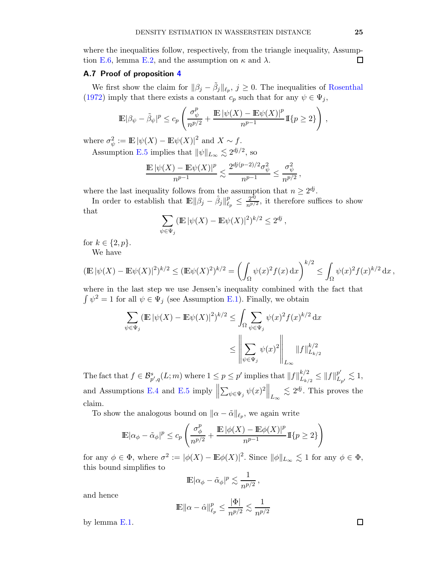where the inequalities follow, respectively, from the triangle inequality, Assump-tion [E.6,](#page-32-7) lemma [E.2,](#page-33-17) and the assumption on  $\kappa$  and  $\lambda$ .  $\Box$ 

# A.7 Proof of proposition [4](#page-13-0)

We first show the claim for  $\|\beta_j - \tilde{\beta}_j\|_{\ell_p}$ ,  $j \geq 0$ . The inequalities of [Rosenthal](#page-34-26) [\(1972\)](#page-34-26) imply that there exists a constant  $c_p$  such that for any  $\psi \in \Psi_j$ ,

$$
\mathop{\mathrm{I\!E}}\nolimits |\beta_\psi - \tilde{\beta}_\psi|^p \leq c_p \left( \frac{\sigma^p_\psi}{n^{p/2}} + \frac{\mathop{\mathrm{I\!E}}\nolimits |\psi(X) - \mathop{\mathrm{I\!E}}\nolimits \psi(X)|^p}{n^{p-1}} 1\!\!1\{p \geq 2\} \right) ,
$$

where  $\sigma_{\psi}^2 := \mathbb{E} |\psi(X) - \mathbb{E} \psi(X)|^2$  and  $X \sim f$ .

Assumption [E.5](#page-32-6) implies that  $\|\psi\|_{L_{\infty}} \lesssim 2^{dj/2}$ , so

$$
\frac{\mathop{\mathrm{I\!E}}\nolimits|\psi(X) - \mathop{\mathrm{I\!E}}\nolimits \psi(X)|^p}{n^{p-1}} \lesssim \frac{2^{dj(p-2)/2} \sigma_\psi^2}{n^{p-1}} \le \frac{\sigma_\psi^2}{n^{p/2}},
$$

where the last inequality follows from the assumption that  $n \geq 2^{dj}$ .

In order to establish that  $\mathbb{E} \|\beta_j - \hat{\beta}_j\|_{\ell}^p$  $\frac{p}{\ell_p} \leq \frac{2^{dj}}{n^{p/2}}$  $\frac{2^{a_j}}{n^{p/2}}$ , it therefore suffices to show that

$$
\sum_{\psi \in \Psi_j} (\mathbb{E} |\psi(X) - \mathbb{E} \psi(X)|^2)^{k/2} \le 2^{dj},
$$

for  $k \in \{2, p\}.$ 

We have

$$
(\mathbb{E}|\psi(X) - \mathbb{E}\psi(X)|^2)^{k/2} \le (\mathbb{E}\psi(X)^2)^{k/2} = \left(\int_{\Omega} \psi(x)^2 f(x) \, dx\right)^{k/2} \le \int_{\Omega} \psi(x)^2 f(x)^{k/2} \, dx,
$$

where in the last step we use Jensen's inequality combined with the fact that  $\int \psi^2 = 1$  for all  $\psi \in \Psi_j$  (see Assumption [E.1\)](#page-32-3). Finally, we obtain

$$
\sum_{\psi \in \Psi_j} (\mathbb{E} |\psi(X) - \mathbb{E} \psi(X)|^2)^{k/2} \le \int_{\Omega} \sum_{\psi \in \Psi_j} \psi(x)^2 f(x)^{k/2} dx
$$

$$
\le \left\| \sum_{\psi \in \Psi_j} \psi(x)^2 \right\|_{L_{\infty}} \|f\|_{L_{k/2}}^{k/2}
$$

The fact that  $f \in \mathcal{B}_{p',q}^s(L;m)$  where  $1 \leq p \leq p'$  implies that  $||f||_{L_k}^{k/2}$  $_{L_{k/2}}^{k/2} \leq ||f||_{L_{p'}}^{p'} \lesssim 1,$ and Assumptions [E.4](#page-32-5) and [E.5](#page-32-6) imply  $\parallel$  $\sum_{\psi \in \Psi_j} \psi(x)^2 \Big\|_{L_\infty} \lesssim 2^{dj}$ . This proves the claim.

To show the analogous bound on  $\|\alpha - \tilde{\alpha}\|_{\ell_p}$ , we again write

$$
\mathop{\mathrm{I\!E}}\nolimits|\alpha_\phi-\tilde{\alpha}_\phi|^p\leq c_p\left(\frac{\sigma_\phi^p}{n^{p/2}}+\frac{\mathop{\mathrm{I\!E}}\nolimits|\phi(X)-\mathop{\mathrm{I\!E}}\nolimits\phi(X)|^p}{n^{p-1}}1\!\!1\{p\geq 2\}\right)
$$

for any  $\phi \in \Phi$ , where  $\sigma^2 := |\phi(X) - \mathbb{E}\phi(X)|^2$ . Since  $\|\phi\|_{L_\infty} \lesssim 1$  for any  $\phi \in \Phi$ , this bound simplifies to

$$
\mathbb{E}|\alpha_{\phi}-\tilde{\alpha}_{\phi}|^p\lesssim \frac{1}{n^{p/2}},
$$

and hence

$$
\mathbb{E}\|\alpha - \hat{\alpha}\|_{\ell_p}^p \le \frac{|\Phi|}{n^{p/2}} \lesssim \frac{1}{n^{p/2}}
$$

by lemma [E.1.](#page-32-4)

 $\Box$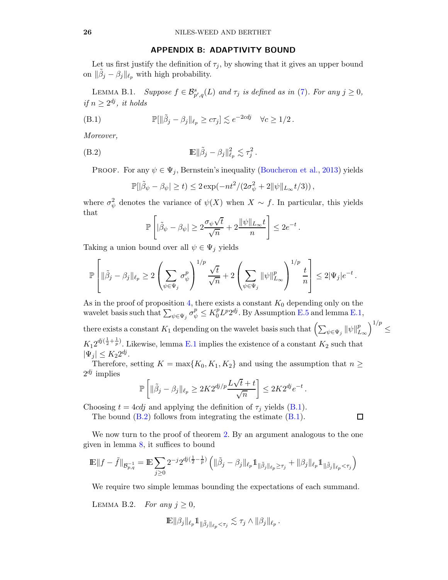# <span id="page-25-2"></span>APPENDIX B: ADAPTIVITY BOUND

<span id="page-25-1"></span><span id="page-25-0"></span>Let us first justify the definition of  $\tau_j$ , by showing that it gives an upper bound on  $\|\tilde{\beta}_j - \beta_j\|_{\ell_p}$  with high probability.

LEMMA B.1. Suppose  $f \in \mathcal{B}_{p',q}^s(L)$  and  $\tau_j$  is defined as in [\(7\)](#page-14-0). For any  $j \geq 0$ , if  $n \geq 2^{dj}$ , it holds

(B.1) 
$$
\mathbb{P}[\|\tilde{\beta}_j - \beta_j\|_{\ell_p} \geq c\tau_j] \lesssim e^{-2cdj} \quad \forall c \geq 1/2.
$$

Moreover,

(B.2) 
$$
\mathbb{E} \|\tilde{\beta}_j - \beta_j\|_{\ell_p}^2 \lesssim \tau_j^2.
$$

PROOF. For any  $\psi \in \Psi_i$ , Bernstein's inequality [\(Boucheron et al.,](#page-33-18) [2013](#page-33-18)) yields

<span id="page-25-3"></span>
$$
\mathbb{P}[\left|\tilde{\beta}_{\psi} - \beta_{\psi}\right| \geq t] \leq 2 \exp(-nt^2/(2\sigma_{\psi}^2 + 2\|\psi\|_{L_{\infty}}t/3)),
$$

where  $\sigma_{\psi}^2$  denotes the variance of  $\psi(X)$  when  $X \sim f$ . In particular, this yields that

$$
\mathbb{P}\left[|\tilde{\beta}_{\psi}-\beta_{\psi}|\geq 2\frac{\sigma_{\psi}\sqrt{t}}{\sqrt{n}}+2\frac{\|\psi\|_{L_{\infty}}t}{n}\right]\leq 2e^{-t}\,.
$$

Taking a union bound over all  $\psi \in \Psi_i$  yields

$$
\mathbb{P}\left[\|\tilde{\beta}_j - \beta_j\|_{\ell_p} \ge 2\left(\sum_{\psi \in \Psi_j} \sigma_{\psi}^p\right)^{1/p} \frac{\sqrt{t}}{\sqrt{n}} + 2\left(\sum_{\psi \in \Psi_j} \|\psi\|_{L_{\infty}}^p\right)^{1/p} \frac{t}{n}\right] \le 2|\Psi_j|e^{-t}.
$$

As in the proof of proposition [4,](#page-13-0) there exists a constant  $K_0$  depending only on the wavelet basis such that  $\sum_{\psi \in \Psi_j} \sigma_{\psi}^p \leq K_0^p L^p 2^{dj}$ . By Assumption [E.5](#page-32-6) and lemma [E.1,](#page-32-4)

there exists a constant  $K_1$  depending on the wavelet basis such that  $\left(\sum_{\psi\in\Psi_j}\|\psi\|_{L^2}^p\right)$  $_{L_{\infty}}^{p}\Big) ^{1/p}\leq$  $K_1 2^{dj(\frac{1}{2}+\frac{1}{p})}$ . Likewise, lemma [E.1](#page-32-4) implies the existence of a constant  $K_2$  such that  $|\Psi_j| \leq K_2 2^{dj}.$ 

Therefore, setting  $K = \max\{K_0, K_1, K_2\}$  and using the assumption that  $n \geq$  $2^{dj}$  implies

$$
\mathbb{P}\left[\|\tilde{\beta}_j-\beta_j\|_{\ell_p}\geq 2K2^{dj/p}\frac{L\sqrt{t}+t}{\sqrt{n}}\right]\leq 2K2^{dj}e^{-t}\,.
$$

Choosing  $t = 4cdj$  and applying the definition of  $\tau_j$  yields [\(B.1\)](#page-25-2).

The bound  $(B.2)$  follows from integrating the estimate  $(B.1)$ .

 $\Box$ 

We now turn to the proof of theorem [2.](#page-5-1) By an argument analogous to the one given in lemma [8,](#page-12-1) it suffices to bound

$$
\mathbb{E}||f - \tilde{f}||_{\mathcal{B}_{p,q}^{-1}} = \mathbb{E} \sum_{j \geq 0} 2^{-j} 2^{dj(\frac{1}{2} - \frac{1}{p})} \left( ||\tilde{\beta}_j - \beta_j||_{\ell_p} 1\!\!1_{\|\tilde{\beta}_j\|_{\ell_p} \geq \tau_j} + ||\beta_j||_{\ell_p} 1\!\!1_{\|\tilde{\beta}_j\|_{\ell_p} < \tau_j} \right)
$$

<span id="page-25-4"></span>We require two simple lemmas bounding the expectations of each summand.

LEMMA B.2. For any  $i > 0$ ,

$$
\mathbb{E} \|\beta_j\|_{\ell_p} 1\|_{\tilde{\beta}_j\|_{\ell_p} < \tau_j} \lesssim \tau_j \wedge \|\beta_j\|_{\ell_p}.
$$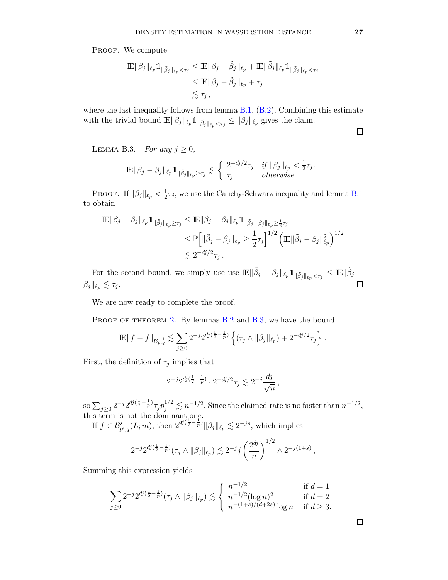PROOF. We compute

$$
\mathbb{E} \|\beta_j\|_{\ell_p} \mathbb{1}_{\|\tilde{\beta}_j\|_{\ell_p} < \tau_j} \leq \mathbb{E} \|\beta_j - \tilde{\beta}_j\|_{\ell_p} + \mathbb{E} \|\tilde{\beta}_j\|_{\ell_p} \mathbb{1}_{\|\tilde{\beta}_j\|_{\ell_p} < \tau_j} \n\leq \mathbb{E} \|\beta_j - \tilde{\beta}_j\|_{\ell_p} + \tau_j \n\leq \tau_j,
$$

where the last inequality follows from lemma  $B.1$ ,  $(B.2)$ . Combining this estimate with the trivial bound  $\mathbb{E} \|\beta_j\|_{\ell_p} 1\!\!1_{\|\tilde{\beta}_j\|_{\ell_p} \leq \tau_j} \leq \|\beta_j\|_{\ell_p}$  gives the claim.

 $\Box$ 

<span id="page-26-0"></span>LEMMA B.3. For any  $j \geq 0$ ,

$$
\mathbb{E} \|\tilde{\beta}_j - \beta_j\|_{\ell_p} 1\|_{\|\tilde{\beta}_j\|_{\ell_p} \geq \tau_j} \lesssim \begin{cases} 2^{-dj/2} \tau_j & \text{if } \|\beta_j\|_{\ell_p} < \frac{1}{2}\tau_j. \\ \tau_j & \text{otherwise} \end{cases}
$$

PROOF. If  $\|\beta_j\|_{\ell_p} < \frac{1}{2}\tau_j$ , we use the Cauchy-Schwarz inequality and lemma [B.1](#page-25-0) to obtain

$$
\mathbb{E} \|\tilde{\beta}_j - \beta_j\|_{\ell_p} \mathbb{1}_{\|\tilde{\beta}_j\|_{\ell_p} \geq \tau_j} \leq \mathbb{E} \|\tilde{\beta}_j - \beta_j\|_{\ell_p} \mathbb{1}_{\|\tilde{\beta}_j - \beta_j\|_{\ell_p} \geq \frac{1}{2}\tau_j}
$$
  
\n
$$
\leq \mathbb{P} \Big[ \|\tilde{\beta}_j - \beta_j\|_{\ell_p} \geq \frac{1}{2}\tau_j \Big]^{1/2} \left( \mathbb{E} \|\tilde{\beta}_j - \beta_j\|_{\ell_p}^2 \right)^{1/2}
$$
  
\n
$$
\lesssim 2^{-dj/2} \tau_j.
$$

For the second bound, we simply use use  $\mathbb{E} \|\tilde{\beta}_j - \beta_j\|_{\ell_p} \mathbb{1}_{\|\tilde{\beta}_j\|_{\ell_p} < \tau_j} \leq \mathbb{E} \|\tilde{\beta}_j - \beta_j\|_{\ell_p}$  $\beta_j \|_{\ell_p} \lesssim \tau_j$ .  $\Box$ 

We are now ready to complete the proof.

PROOF OF THEOREM [2.](#page-5-1) By lemmas [B.2](#page-25-4) and [B.3,](#page-26-0) we have the bound

$$
\mathbb{E} \|f - \tilde{f}\|_{\mathcal{B}_{p,q}^{-1}} \lesssim \sum_{j\geq 0} 2^{-j} 2^{dj(\frac{1}{2} - \frac{1}{p})} \left\{ (\tau_j \wedge \|\beta_j\|_{\ell_p}) + 2^{-dj/2} \tau_j \right\} \, .
$$

First, the definition of  $\tau_j$  implies that

$$
2^{-j}2^{dj(\frac{1}{2}-\frac{1}{p})}\cdot 2^{-dj/2}\tau_j\lesssim 2^{-j}\frac{dj}{\sqrt{n}}\,,
$$

so  $\sum_{j\geq 0} 2^{-j} 2^{dj(\frac{1}{2}-\frac{1}{p})} \tau_j p_j^{1/2} \lesssim n^{-1/2}$ . Since the claimed rate is no faster than  $n^{-1/2}$ , this term is not the dominant one.

If  $f \in \mathcal{B}_{p',q}^s(L;m)$ , then  $2^{dj(\frac{1}{2}-\frac{1}{p})} \|\beta_j\|_{\ell_p} \lesssim 2^{-js}$ , which implies

$$
2^{-j} 2^{dj(\frac{1}{2}-\frac{1}{p})} (\tau_j \wedge \|\beta_j\|_{\ell_p}) \lesssim 2^{-j} j \left(\frac{2^{dj}}{n}\right)^{1/2} \wedge 2^{-j(1+s)},
$$

Summing this expression yields

$$
\sum_{j\geq 0} 2^{-j} 2^{dj(\frac{1}{2}-\frac{1}{p})} (\tau_j \wedge \|\beta_j\|_{\ell_p}) \lesssim \begin{cases} n^{-1/2} & \text{if } d = 1\\ n^{-1/2} (\log n)^2 & \text{if } d = 2\\ n^{-(1+s)/(d+2s)} \log n & \text{if } d \geq 3. \end{cases}
$$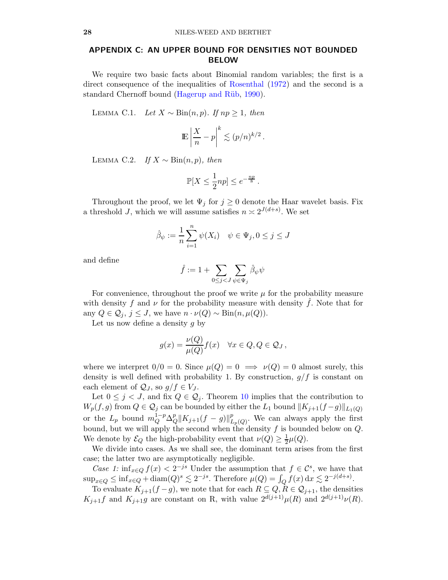# <span id="page-27-0"></span>APPENDIX C: AN UPPER BOUND FOR DENSITIES NOT BOUNDED BELOW

<span id="page-27-1"></span>We require two basic facts about Binomial random variables; the first is a direct consequence of the inequalities of [Rosenthal](#page-34-26) [\(1972](#page-34-26)) and the second is a standard Chernoff bound (Hagerup and Rüb, [1990](#page-34-27)).

LEMMA C.1. Let  $X \sim Bin(n, p)$ . If  $np \geq 1$ , then

$$
\mathbb{E}\left|\frac{X}{n}-p\right|^k \lesssim (p/n)^{k/2}.
$$

<span id="page-27-2"></span>LEMMA C.2. If  $X \sim Bin(n, p)$ , then

$$
\mathbb{P}[X \le \frac{1}{2}np] \le e^{-\frac{np}{8}}.
$$

Throughout the proof, we let  $\Psi_j$  for  $j \geq 0$  denote the Haar wavelet basis. Fix a threshold J, which we will assume satisfies  $n \geq 2^{J(d+s)}$ . We set

$$
\hat{\beta}_{\psi} := \frac{1}{n} \sum_{i=1}^{n} \psi(X_i) \quad \psi \in \Psi_j, 0 \le j \le J
$$

and define

$$
\hat{f}:=1+\sum_{0\leq j < J}\sum_{\psi\in \Psi_j}\hat{\beta}_{\psi}\psi
$$

For convenience, throughout the proof we write  $\mu$  for the probability measure with density f and  $\nu$  for the probability measure with density f. Note that for any  $Q \in \mathcal{Q}_j$ ,  $j \leq J$ , we have  $n \cdot \nu(Q) \sim \text{Bin}(n, \mu(Q)).$ 

Let us now define a density  $q$  by

$$
g(x) = \frac{\nu(Q)}{\mu(Q)} f(x) \quad \forall x \in Q, Q \in Q_J,
$$

where we interpret  $0/0 = 0$ . Since  $\mu(Q) = 0 \implies \nu(Q) = 0$  almost surely, this density is well defined with probability 1. By construction,  $g/f$  is constant on each element of  $\mathcal{Q}_J$ , so  $g/f \in V_J$ .

Let  $0 \leq j < J$ , and fix  $Q \in \mathcal{Q}_j$ . Theorem [10](#page-17-1) implies that the contribution to  $W_p(f,g)$  from  $Q \in \mathcal{Q}_j$  can be bounded by either the  $L_1$  bound  $||K_{j+1}(f-g)||_{L_1(Q)}$ or the  $L_p$  bound  $m_Q^{1-p} \Delta_Q^p$  ${}_{Q}^{p}$ || $K_{j+1}(f-g)$ || ${}_{L}^{p}$  $L_p(Q)$ . We can always apply the first bound, but we will apply the second when the density  $f$  is bounded below on  $Q$ . We denote by  $\mathcal{E}_Q$  the high-probability event that  $\nu(Q) \geq \frac{1}{2}\mu(Q)$ .

We divide into cases. As we shall see, the dominant term arises from the first case; the latter two are asymptotically negligible.

Case 1: inf<sub>x∈Q</sub>  $f(x) < 2^{-js}$  Under the assumption that  $f \in \mathcal{C}^s$ , we have that  $\sup_{x\in Q} \leq \inf_{x\in Q} + \text{diam}(Q)^s \lesssim 2^{-js}$ . Therefore  $\mu(Q) = \int_Q f(x) dx \lesssim 2^{-j(d+s)}$ .

To evaluate  $K_{j+1}(f-g)$ , we note that for each  $R \subseteq Q, R \in \mathcal{Q}_{j+1}$ , the densities  $K_{j+1}f$  and  $K_{j+1}g$  are constant on R, with value  $2^{d(j+1)}\mu(R)$  and  $2^{d(j+1)}\nu(R)$ .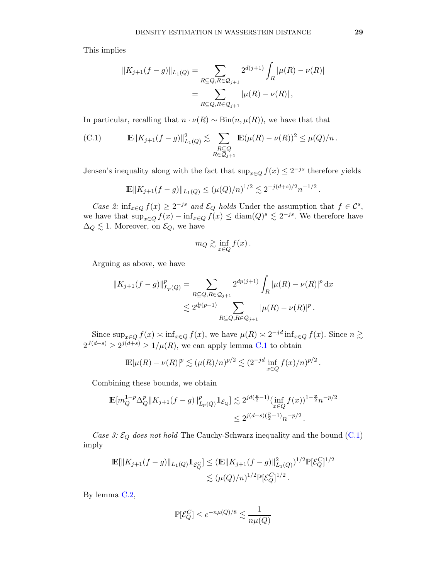This implies

$$
||K_{j+1}(f-g)||_{L_1(Q)} = \sum_{R \subseteq Q, R \in Q_{j+1}} 2^{d(j+1)} \int_R |\mu(R) - \nu(R)|
$$
  
= 
$$
\sum_{R \subseteq Q, R \in Q_{j+1}} |\mu(R) - \nu(R)|,
$$

In particular, recalling that  $n \cdot \nu(R) \sim Bin(n, \mu(R))$ , we have that that

<span id="page-28-0"></span>(C.1) 
$$
\mathbb{E} \|K_{j+1}(f-g)\|_{L_1(Q)}^2 \lesssim \sum_{\substack{R \subseteq Q \\ R \in \mathcal{Q}_{j+1}}} \mathbb{E}(\mu(R) - \nu(R))^2 \leq \mu(Q)/n.
$$

Jensen's inequality along with the fact that  $\sup_{x \in Q} f(x) \leq 2^{-js}$  therefore yields

$$
\mathbb{E}||K_{j+1}(f-g)||_{L_1(Q)} \leq (\mu(Q)/n)^{1/2} \lesssim 2^{-j(d+s)/2}n^{-1/2}.
$$

Case 2:  $\inf_{x \in Q} f(x) \geq 2^{-js}$  and  $\mathcal{E}_Q$  holds Under the assumption that  $f \in \mathcal{C}^s$ , we have that  $\sup_{x \in Q} f(x) - \inf_{x \in Q} f(x) \leq \text{diam}(Q)^s \lesssim 2^{-js}$ . We therefore have  $\Delta_Q \lesssim 1$ . Moreover, on  $\mathcal{E}_Q$ , we have

$$
m_Q \gtrsim \inf_{x \in Q} f(x).
$$

Arguing as above, we have

$$
||K_{j+1}(f-g)||_{L_p(Q)}^p = \sum_{R \subseteq Q, R \in \mathcal{Q}_{j+1}} 2^{dp(j+1)} \int_R |\mu(R) - \nu(R)|^p dx
$$
  
\$\leq 2^{dj(p-1)} \sum\_{R \subseteq Q, R \in \mathcal{Q}\_{j+1}} |\mu(R) - \nu(R)|^p.

Since  $\sup_{x\in Q} f(x) \asymp \inf_{x\in Q} f(x)$ , we have  $\mu(R) \asymp 2^{-jd} \inf_{x\in Q} f(x)$ . Since  $n \gtrsim$  $2^{J(d+s)} \ge 2^{j(d+s)} \ge 1/\mu(R)$ , we can apply lemma [C.1](#page-27-1) to obtain

$$
\mathbb{E}|\mu(R) - \nu(R)|^p \lesssim (\mu(R)/n)^{p/2} \lesssim (2^{-jd} \inf_{x \in Q} f(x)/n)^{p/2}.
$$

Combining these bounds, we obtain

$$
\mathbb{E}[m_Q^{1-p} \Delta_Q^p \|K_{j+1}(f-g)\|_{L_p(Q)}^p 1_{\mathcal{E}_Q}] \lesssim 2^{jd(\frac{p}{2}-1)} (\inf_{x \in Q} f(x))^{1-\frac{p}{2}} n^{-p/2}
$$
  

$$
\leq 2^{j(d+s)(\frac{p}{2}-1)} n^{-p/2}.
$$

Case 3:  $\mathcal{E}_Q$  does not hold The Cauchy-Schwarz inequality and the bound [\(C.1\)](#page-28-0) imply

$$
\mathbb{E}[\|K_{j+1}(f-g)\|_{L_1(Q)}\mathbb{1}_{\mathcal{E}_Q^C}] \leq (\mathbb{E}\|K_{j+1}(f-g)\|_{L_1(Q)}^2)^{1/2}\mathbb{P}[\mathcal{E}_Q^C]^{1/2}
$$
  

$$
\lesssim (\mu(Q)/n)^{1/2}\mathbb{P}[\mathcal{E}_Q^C]^{1/2}.
$$

By lemma [C.2,](#page-27-2)

$$
\mathbb{P}[\mathcal{E}_Q^C] \le e^{-n\mu(Q)/8} \lesssim \frac{1}{n\mu(Q)}
$$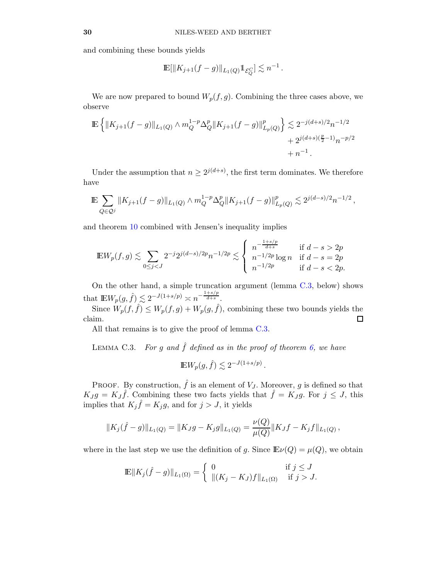and combining these bounds yields

$$
\mathbb{E}[\|K_{j+1}(f-g)\|_{L_1(Q)} 1\!\!1_{\mathcal{E}_Q^C}] \lesssim n^{-1}.
$$

We are now prepared to bound  $W_p(f, g)$ . Combining the three cases above, we observe

$$
\mathbb{E}\left\{\|K_{j+1}(f-g)\|_{L_1(Q)} \wedge m_Q^{1-p}\Delta_Q^p \|K_{j+1}(f-g)\|_{L_p(Q)}^p\right\} \lesssim 2^{-j(d+s)/2} n^{-1/2} + 2^{j(d+s)(\frac{p}{2}-1)} n^{-p/2} + n^{-1}.
$$

Under the assumption that  $n \geq 2^{j(d+s)}$ , the first term dominates. We therefore have

$$
\mathbb{E}\sum_{Q\in\mathcal{Q}^j}||K_{j+1}(f-g)||_{L_1(Q)} \wedge m_Q^{1-p}\Delta_Q^p||K_{j+1}(f-g)||_{L_p(Q)}^p\lesssim 2^{j(d-s)/2}n^{-1/2},
$$

and theorem [10](#page-17-1) combined with Jensen's inequality implies

$$
\mathbb{E}W_p(f,g) \lesssim \sum_{0 \le j < J} 2^{-j} 2^{j(d-s)/2p} n^{-1/2p} \lesssim \begin{cases} n^{-\frac{1+s/p}{d+s}} & \text{if } d-s > 2p\\ n^{-1/2p} \log n & \text{if } d-s = 2p\\ n^{-1/2p} & \text{if } d-s < 2p. \end{cases}
$$

On the other hand, a simple truncation argument (lemma  $C.3$ , below) shows that  $\mathbb{E} W_p(g, \hat{f}) \lesssim 2^{-J(1+s/p)} \asymp n^{-\frac{1+s/p}{d+s}}.$ 

Since  $W_p(f, \hat{f}) \leq W_p(f, g) + W_p(g, \hat{f})$ , combining these two bounds yields the  $\square$ claim.

<span id="page-29-0"></span>All that remains is to give the proof of lemma [C.3.](#page-29-0)

LEMMA C.3. For g and  $\hat{f}$  defined as in the proof of theorem [6,](#page-6-1) we have

$$
\mathbb{E} W_p(g, \hat{f}) \lesssim 2^{-J(1+s/p)}.
$$

PROOF. By construction,  $\hat{f}$  is an element of  $V_J$ . Moreover, g is defined so that  $K_J g = K_J \hat{f}$ . Combining these two facts yields that  $\hat{f} = K_J g$ . For  $j \leq J$ , this implies that  $K_j \hat{f} = K_j g$ , and for  $j > J$ , it yields

$$
||K_j(\hat{f} - g)||_{L_1(Q)} = ||K_Jg - K_jg||_{L_1(Q)} = \frac{\nu(Q)}{\mu(Q)}||K_Jf - K_jf||_{L_1(Q)},
$$

where in the last step we use the definition of g. Since  $\mathbb{E}\nu(Q) = \mu(Q)$ , we obtain

$$
\mathbb{E}||K_j(\hat{f} - g)||_{L_1(\Omega)} = \begin{cases} 0 & \text{if } j \le J \\ ||(K_j - K_J)f||_{L_1(\Omega)} & \text{if } j > J. \end{cases}
$$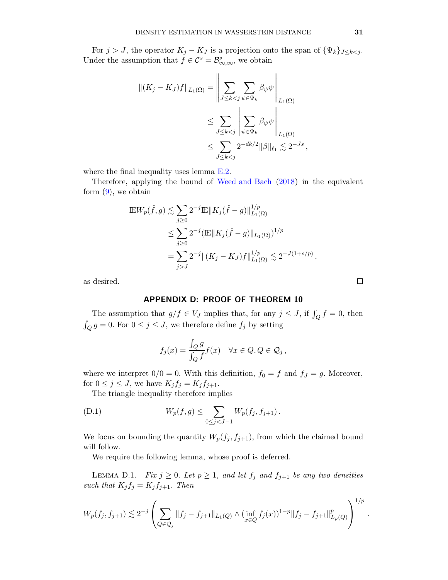For  $j > J$ , the operator  $K_j - K_J$  is a projection onto the span of  $\{\Psi_k\}_{j \leq k < j}$ . Under the assumption that  $f \in \mathcal{C}^s = \mathcal{B}^s_{\infty,\infty}$ , we obtain

$$
\begin{aligned} \|(K_j - K_J)f\|_{L_1(\Omega)} &= \left\|\sum_{J \le k < j} \sum_{\psi \in \Psi_k} \beta_{\psi} \psi \right\|_{L_1(\Omega)} \\ &\le \sum_{J \le k < j} \left\|\sum_{\psi \in \Psi_k} \beta_{\psi} \psi \right\|_{L_1(\Omega)} \\ &\le \sum_{J \le k < j} 2^{-dk/2} \|\beta\|_{\ell_1} \lesssim 2^{-Js} \end{aligned}
$$

where the final inequality uses lemma  $E.2$ .

Therefore, applying the bound of [Weed and Bach](#page-35-0) [\(2018](#page-35-0)) in the equivalent form  $(9)$ , we obtain

$$
\mathbb{E}W_p(\hat{f}, g) \lesssim \sum_{j \geq 0} 2^{-j} \mathbb{E} \|K_j(\hat{f} - g)\|_{L_1(\Omega)}^{1/p} \n\leq \sum_{j \geq 0} 2^{-j} (\mathbb{E} \|K_j(\hat{f} - g)\|_{L_1(\Omega)})^{1/p} \n= \sum_{j > J} 2^{-j} \|(K_j - K_J)f\|_{L_1(\Omega)}^{1/p} \lesssim 2^{-J(1+s/p)},
$$

<span id="page-30-0"></span>as desired.

# APPENDIX D: PROOF OF THEOREM 10

The assumption that  $g/f \in V_J$  implies that, for any  $j \leq J$ , if  $\int_Q f = 0$ , then  $\int_Q g = 0$ . For  $0 \le j \le J$ , we therefore define  $f_j$  by setting

<span id="page-30-1"></span>
$$
f_j(x) = \frac{\int_Q g}{\int_Q f}(x) \quad \forall x \in Q, Q \in \mathcal{Q}_j,
$$

where we interpret  $0/0 = 0$ . With this definition,  $f_0 = f$  and  $f_J = g$ . Moreover, for  $0 \leq j \leq J$ , we have  $K_j f_j = K_j f_{j+1}$ .

The triangle inequality therefore implies

(D.1) 
$$
W_p(f,g) \leq \sum_{0 \leq j < J-1} W_p(f_j, f_{j+1}).
$$

We focus on bounding the quantity  $W_p(f_j, f_{j+1})$ , from which the claimed bound will follow.

<span id="page-30-2"></span>We require the following lemma, whose proof is deferred.

LEMMA D.1. Fix  $j \geq 0$ . Let  $p \geq 1$ , and let  $f_j$  and  $f_{j+1}$  be any two densities such that  $K_j f_j = K_j f_{j+1}$ . Then

$$
W_p(f_j, f_{j+1}) \lesssim 2^{-j} \left( \sum_{Q \in \mathcal{Q}_j} \|f_j - f_{j+1}\|_{L_1(Q)} \wedge (\inf_{x \in Q} f_j(x))^{1-p} \|f_j - f_{j+1}\|_{L_p(Q)}^p \right)^{1/p}
$$

 $\Box$ 

.

,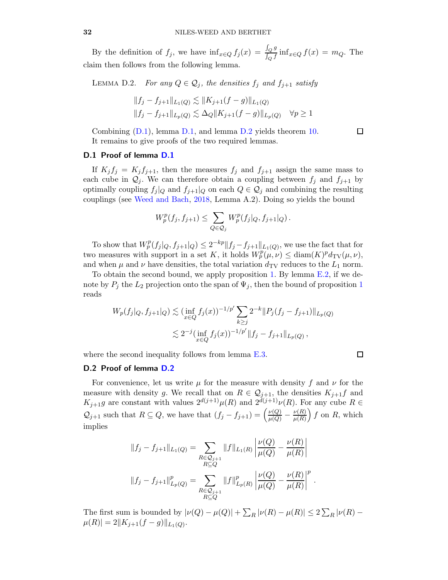<span id="page-31-0"></span>By the definition of  $f_j$ , we have  $\inf_{x \in Q} f_j(x) = \frac{\int_Q g_j(x)}{\int_S f_j(x)}$  $\frac{\int_{Q} g}{\int_{Q} f}$  inf<sub>x∈</sub>Q  $f(x) = m_Q$ . The claim then follows from the following lemma.

LEMMA D.2. For any  $Q \in \mathcal{Q}_j$ , the densities  $f_j$  and  $f_{j+1}$  satisfy

$$
||f_j - f_{j+1}||_{L_1(Q)} \lesssim ||K_{j+1}(f - g)||_{L_1(Q)}
$$
  

$$
||f_j - f_{j+1}||_{L_p(Q)} \lesssim \Delta_Q ||K_{j+1}(f - g)||_{L_p(Q)} \quad \forall p \ge 1
$$

Combining [\(D.1\)](#page-30-1), lemma [D.1,](#page-30-2) and lemma [D.2](#page-31-0) yields theorem [10.](#page-17-1) It remains to give proofs of the two required lemmas.

# [D.1](#page-30-2) Proof of lemma D.1

If  $K_j f_j = K_j f_{j+1}$ , then the measures  $f_j$  and  $f_{j+1}$  assign the same mass to each cube in  $\mathcal{Q}_j$ . We can therefore obtain a coupling between  $f_j$  and  $f_{j+1}$  by optimally coupling  $f_j |_Q$  and  $f_{j+1} |_Q$  on each  $Q \in \mathcal{Q}_j$  and combining the resulting couplings (see [Weed and Bach](#page-35-0), [2018,](#page-35-0) Lemma A.2). Doing so yields the bound

$$
W_p^p(f_j, f_{j+1}) \le \sum_{Q \in \mathcal{Q}_j} W_p^p(f_j|_Q, f_{j+1}|_Q).
$$

To show that  $W_p^p(f_j|_Q, f_{j+1}|_Q) \leq 2^{-kp} \|f_j - f_{j+1}\|_{L_1(Q)}$ , we use the fact that for two measures with support in a set K, it holds  $W_p^p(\mu, \nu) \leq \text{diam}(K)^p d_{\text{TV}}(\mu, \nu)$ , and when  $\mu$  and  $\nu$  have densities, the total variation  $d_{\text{TV}}$  reduces to the  $L_1$  norm.

To obtain the second bound, we apply proposition [1.](#page-7-2) By lemma  $E.2$ , if we denote by  $P_j$  the  $L_2$  projection onto the span of  $\Psi_j$ , then the bound of proposition [1](#page-7-2) reads

$$
W_p(f_j|Q, f_{j+1}|Q) \lesssim \left(\inf_{x \in Q} f_j(x)\right)^{-1/p'} \sum_{k \geq j} 2^{-k} \|P_j(f_j - f_{j+1})\|_{L_p(Q)}
$$
  

$$
\lesssim 2^{-j} \left(\inf_{x \in Q} f_j(x)\right)^{-1/p'} \|f_j - f_{j+1}\|_{L_p(Q)},
$$

where the second inequality follows from lemma [E.3.](#page-33-19)

$$
\qquad \qquad \Box
$$

 $\Box$ 

# D.2 Proof of lemma [D.2](#page-31-0)

For convenience, let us write  $\mu$  for the measure with density f and  $\nu$  for the measure with density g. We recall that on  $R \in \mathcal{Q}_{j+1}$ , the densities  $K_{j+1}f$  and  $K_{j+1}g$  are constant with values  $2^{d(j+1)}\mu(R)$  and  $2^{d(j+1)}\nu(R)$ . For any cube  $R \in$  $\mathcal{Q}_{j+1}$  such that  $R \subseteq Q$ , we have that  $(f_j - f_{j+1}) = \left(\frac{\nu(Q)}{\mu(Q)} - \frac{\nu(R)}{\mu(R)}\right)$  $\frac{\nu(R)}{\mu(R)}$  f on R, which implies

$$
||f_j - f_{j+1}||_{L_1(Q)} = \sum_{\substack{R \in \mathcal{Q}_{j+1} \\ R \subseteq Q}} ||f||_{L_1(R)} \left| \frac{\nu(Q)}{\mu(Q)} - \frac{\nu(R)}{\mu(R)} \right|
$$
  

$$
||f_j - f_{j+1}||_{L_p(Q)}^p = \sum_{\substack{R \in \mathcal{Q}_{j+1} \\ R \subseteq Q}} ||f||_{L_p(R)}^p \left| \frac{\nu(Q)}{\mu(Q)} - \frac{\nu(R)}{\mu(R)} \right|^p.
$$

The first sum is bounded by  $|\nu(Q) - \mu(Q)| + \sum_R |\nu(R) - \mu(R)| \leq 2 \sum_R |\nu(R) - \mu(R)|$  $\mu(R)| = 2||K_{j+1}(f-g)||_{L_1(Q)}.$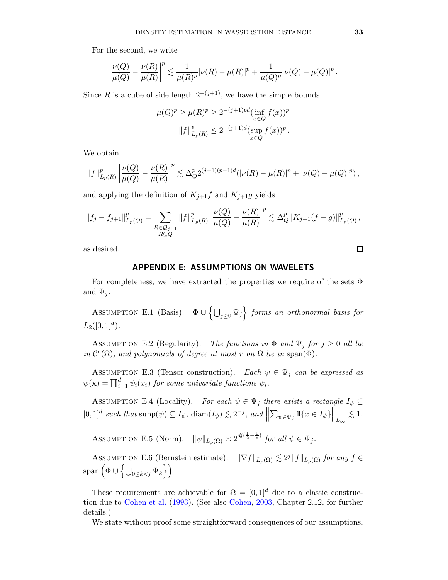For the second, we write

$$
\left|\frac{\nu(Q)}{\mu(Q)}-\frac{\nu(R)}{\mu(R)}\right|^p\lesssim \frac{1}{\mu(R)^p}|\nu(R)-\mu(R)|^p+\frac{1}{\mu(Q)^p}|\nu(Q)-\mu(Q)|^p\,.
$$

Since R is a cube of side length  $2^{-(j+1)}$ , we have the simple bounds

$$
\mu(Q)^p \ge \mu(R)^p \ge 2^{-(j+1)p d} (\inf_{x \in Q} f(x))^p
$$

$$
||f||_{L_p(R)}^p \le 2^{-(j+1)d} (\sup_{x \in Q} f(x))^p.
$$

We obtain

$$
||f||_{L_p(R)}^p \left| \frac{\nu(Q)}{\mu(Q)} - \frac{\nu(R)}{\mu(R)} \right|^p \lesssim \Delta_Q^p 2^{(j+1)(p-1)d} (|\nu(R) - \mu(R)|^p + |\nu(Q) - \mu(Q)|^p),
$$

and applying the definition of  $K_{j+1}f$  and  $K_{j+1}g$  yields

$$
||f_j - f_{j+1}||_{L_p(Q)}^p = \sum_{\substack{R \in \mathcal{Q}_{j+1} \\ R \subseteq Q}} ||f||_{L_p(R)}^p \left| \frac{\nu(Q)}{\mu(Q)} - \frac{\nu(R)}{\mu(R)} \right|^p \lesssim \Delta_Q^p ||K_{j+1}(f-g)||_{L_p(Q)}^p,
$$

<span id="page-32-0"></span>as desired.

# APPENDIX E: ASSUMPTIONS ON WAVELETS

<span id="page-32-3"></span>For completeness, we have extracted the properties we require of the sets  $\Phi$ and  $\Psi_i$ .

ASSUMPTION E.1 (Basis).  $\Phi \cup \left\{\bigcup_{j\geq 0} \Psi_j\right\}$  forms an orthonormal basis for  $L_2([0,1]^d)$ .

<span id="page-32-1"></span>ASSUMPTION E.2 (Regularity). The functions in  $\Phi$  and  $\Psi_j$  for  $j \geq 0$  all lie in  $\mathcal{C}^r(\Omega)$ , and polynomials of degree at most r on  $\Omega$  lie in span( $\Phi$ ).

<span id="page-32-2"></span>ASSUMPTION E.3 (Tensor construction). Each  $\psi \in \Psi_j$  can be expressed as  $\psi(\mathbf{x}) = \prod_{i=1}^d \psi_i(x_i)$  for some univariate functions  $\psi_i$ .

<span id="page-32-5"></span>ASSUMPTION E.4 (Locality). For each  $\psi \in \Psi_j$  there exists a rectangle  $I_{\psi} \subseteq$ [0, 1]<sup>d</sup> such that supp $(\psi) \subseteq I_{\psi}$ , diam $(I_{\psi}) \lesssim 2^{-j}$ , and  $\parallel$  $\sum_{\psi \in \Psi_j} \mathbb{I}\{x \in I_{\psi}\}\Big\|_{L_{\infty}} \lesssim 1.$ 

<span id="page-32-6"></span>ASSUMPTION E.5 (Norm).  $\|\psi\|_{L_p(\Omega)} \asymp 2^{dj(\frac{1}{2}-\frac{1}{p})}$  for all  $\psi \in \Psi_j$ .

<span id="page-32-7"></span>ASSUMPTION E.6 (Bernstein estimate).  $\|\nabla f\|_{L_p(\Omega)} \lesssim 2^j \|f\|_{L_p(\Omega)}$  for any  $f \in$  $\text{span}\left(\Phi\cup \left\{\bigcup_{0\leq k< j}\Psi_k\right\}\right).$ 

These requirements are achievable for  $\Omega = [0, 1]^d$  due to a classic construction due to [Cohen et al.](#page-33-20) [\(1993](#page-33-20)). (See also [Cohen,](#page-33-8) [2003](#page-33-8), Chapter 2.12, for further details.)

<span id="page-32-4"></span>We state without proof some straightforward consequences of our assumptions.

 $\Box$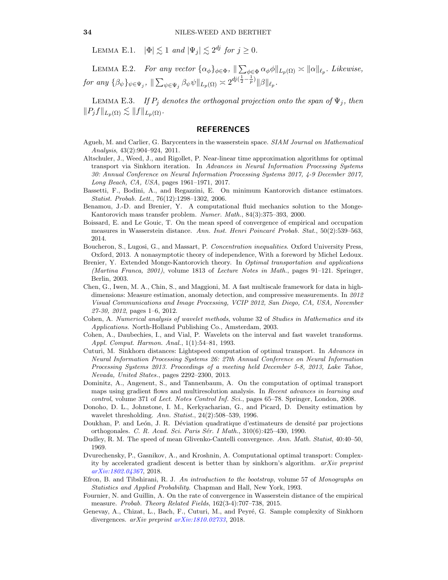LEMMA E.1.  $|\Phi| \lesssim 1$  and  $|\Psi_j| \lesssim 2^{dj}$  for  $j \geq 0$ .

<span id="page-33-17"></span>LEMMA E.2. For any vector  $\{\alpha_{\phi}\}_{\phi \in \Phi}$ ,  $\|\sum_{\phi \in \Phi} \alpha_{\phi} \phi\|_{L_p(\Omega)} \asymp \|\alpha\|_{\ell_p}$ . Likewise,  $\text{for any } \{\beta_{\psi}\}_{\psi \in \Psi_j}, \|\sum_{\psi \in \Psi_j} \beta_{\psi}\psi\|_{L_p(\Omega)} \asymp 2^{dj(\frac{1}{2}-\frac{1}{p})}\|\beta\|_{\ell_p}.$ 

<span id="page-33-19"></span>LEMMA E.3. If  $P_i$  denotes the orthogonal projection onto the span of  $\Psi_i$ , then  $||P_jf||_{L_p(\Omega)} \lesssim ||f||_{L_p(\Omega)}.$ 

# **REFERENCES**

- <span id="page-33-14"></span>Agueh, M. and Carlier, G. Barycenters in the wasserstein space. *SIAM Journal on Mathematical Analysis*, 43(2):904–924, 2011.
- <span id="page-33-0"></span>Altschuler, J., Weed, J., and Rigollet, P. Near-linear time approximation algorithms for optimal transport via Sinkhorn iteration. In *Advances in Neural Information Processing Systems 30: Annual Conference on Neural Information Processing Systems 2017, 4-9 December 2017, Long Beach, CA, USA*, pages 1961–1971, 2017.
- <span id="page-33-13"></span>Bassetti, F., Bodini, A., and Regazzini, E. On minimum Kantorovich distance estimators. *Statist. Probab. Lett.*, 76(12):1298–1302, 2006.
- <span id="page-33-9"></span>Benamou, J.-D. and Brenier, Y. A computational fluid mechanics solution to the Monge-Kantorovich mass transfer problem. *Numer. Math.*, 84(3):375–393, 2000.
- <span id="page-33-11"></span>Boissard, E. and Le Gouic, T. On the mean speed of convergence of empirical and occupation measures in Wasserstein distance. Ann. Inst. Henri Poincaré Probab. Stat., 50(2):539–563, 2014.
- <span id="page-33-18"></span>Boucheron, S., Lugosi, G., and Massart, P. *Concentration inequalities*. Oxford University Press, Oxford, 2013. A nonasymptotic theory of independence, With a foreword by Michel Ledoux.
- <span id="page-33-10"></span>Brenier, Y. Extended Monge-Kantorovich theory. In *Optimal transportation and applications (Martina Franca, 2001)*, volume 1813 of *Lecture Notes in Math.*, pages 91–121. Springer, Berlin, 2003.
- <span id="page-33-6"></span>Chen, G., Iwen, M. A., Chin, S., and Maggioni, M. A fast multiscale framework for data in highdimensions: Measure estimation, anomaly detection, and compressive measurements. In *2012 Visual Communications and Image Processing, VCIP 2012, San Diego, CA, USA, November 27-30, 2012*, pages 1–6, 2012.
- <span id="page-33-8"></span>Cohen, A. *Numerical analysis of wavelet methods*, volume 32 of *Studies in Mathematics and its Applications*. North-Holland Publishing Co., Amsterdam, 2003.
- <span id="page-33-20"></span>Cohen, A., Daubechies, I., and Vial, P. Wavelets on the interval and fast wavelet transforms. *Appl. Comput. Harmon. Anal.*, 1(1):54–81, 1993.
- <span id="page-33-1"></span>Cuturi, M. Sinkhorn distances: Lightspeed computation of optimal transport. In *Advances in Neural Information Processing Systems 26: 27th Annual Conference on Neural Information Processing Systems 2013. Proceedings of a meeting held December 5-8, 2013, Lake Tahoe, Nevada, United States.*, pages 2292–2300, 2013.
- <span id="page-33-7"></span>Dominitz, A., Angenent, S., and Tannenbaum, A. On the computation of optimal transport maps using gradient flows and multiresolution analysis. In *Recent advances in learning and control*, volume 371 of *Lect. Notes Control Inf. Sci.*, pages 65–78. Springer, London, 2008.
- <span id="page-33-4"></span>Donoho, D. L., Johnstone, I. M., Kerkyacharian, G., and Picard, D. Density estimation by wavelet thresholding. *Ann. Statist.*, 24(2):508–539, 1996.
- <span id="page-33-5"></span>Doukhan, P. and León, J. R. Déviation quadratique d'estimateurs de densité par projections orthogonales. *C. R. Acad. Sci. Paris S´er. I Math.*, 310(6):425–430, 1990.
- <span id="page-33-15"></span>Dudley, R. M. The speed of mean Glivenko-Cantelli convergence. *Ann. Math. Statist*, 40:40–50, 1969.
- <span id="page-33-16"></span>Dvurechensky, P., Gasnikov, A., and Kroshnin, A. Computational optimal transport: Complexity by accelerated gradient descent is better than by sinkhorn's algorithm. *arXiv preprint [arXiv:1802.04367](http://arxiv.org/abs/1802.04367)*, 2018.
- <span id="page-33-2"></span>Efron, B. and Tibshirani, R. J. *An introduction to the bootstrap*, volume 57 of *Monographs on Statistics and Applied Probability*. Chapman and Hall, New York, 1993.
- <span id="page-33-12"></span>Fournier, N. and Guillin, A. On the rate of convergence in Wasserstein distance of the empirical measure. *Probab. Theory Related Fields*, 162(3-4):707–738, 2015.
- <span id="page-33-3"></span>Genevay, A., Chizat, L., Bach, F., Cuturi, M., and Peyré, G. Sample complexity of Sinkhorn divergences. *arXiv preprint [arXiv:1810.02733](http://arxiv.org/abs/1810.02733)*, 2018.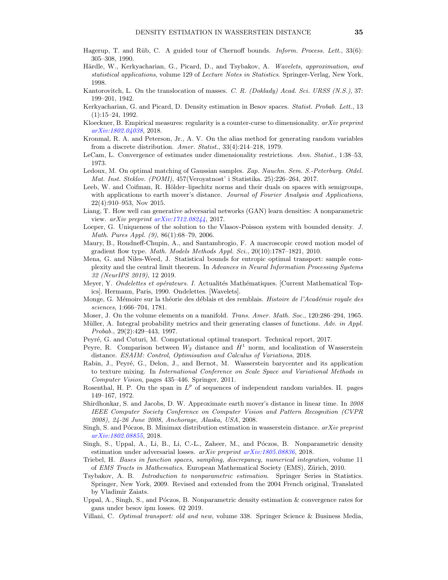- <span id="page-34-27"></span>Hagerup, T. and R¨ub, C. A guided tour of Chernoff bounds. *Inform. Process. Lett.*, 33(6): 305–308, 1990.
- <span id="page-34-17"></span>Härdle, W., Kerkyacharian, G., Picard, D., and Tsybakov, A. *Wavelets, approximation, and statistical applications*, volume 129 of *Lecture Notes in Statistics*. Springer-Verlag, New York, 1998.
- <span id="page-34-0"></span>Kantorovitch, L. On the translocation of masses. *C. R. (Doklady) Acad. Sci. URSS (N.S.)*, 37: 199–201, 1942.
- <span id="page-34-18"></span>Kerkyacharian, G. and Picard, D. Density estimation in Besov spaces. *Statist. Probab. Lett.*, 13 (1):15–24, 1992.
- <span id="page-34-9"></span>Kloeckner, B. Empirical measures: regularity is a counter-curse to dimensionality. *arXiv preprint [arXiv:1802.04038](http://arxiv.org/abs/1802.04038)*, 2018.
- <span id="page-34-25"></span>Kronmal, R. A. and Peterson, Jr., A. V. On the alias method for generating random variables from a discrete distribution. *Amer. Statist.*, 33(4):214–218, 1979.
- <span id="page-34-23"></span>LeCam, L. Convergence of estimates under dimensionality restrictions. *Ann. Statist.*, 1:38–53, 1973.
- <span id="page-34-16"></span>Ledoux, M. On optimal matching of Gaussian samples. *Zap. Nauchn. Sem. S.-Peterburg. Otdel. Mat. Inst. Steklov. (POMI)*, 457(Veroyatnost' i Statistika. 25):226–264, 2017.
- <span id="page-34-15"></span>Leeb, W. and Coifman, R. Hölder–lipschitz norms and their duals on spaces with semigroups, with applications to earth mover's distance. *Journal of Fourier Analysis and Applications*, 22(4):910–953, Nov 2015.
- <span id="page-34-6"></span>Liang, T. How well can generative adversarial networks (GAN) learn densities: A nonparametric view. *arXiv preprint [arXiv:1712.08244](http://arxiv.org/abs/1712.08244)*, 2017.
- <span id="page-34-12"></span>Loeper, G. Uniqueness of the solution to the Vlasov-Poisson system with bounded density. *J. Math. Pures Appl. (9)*, 86(1):68–79, 2006.
- <span id="page-34-13"></span>Maury, B., Roudneff-Chupin, A., and Santambrogio, F. A macroscopic crowd motion model of gradient flow type. *Math. Models Methods Appl. Sci.*, 20(10):1787–1821, 2010.
- <span id="page-34-10"></span>Mena, G. and Niles-Weed, J. Statistical bounds for entropic optimal transport: sample complexity and the central limit theorem. In *Advances in Neural Information Processing Systems 32 (NeurIPS 2019)*, 12 2019.
- <span id="page-34-20"></span>Meyer, Y. *Ondelettes et opérateurs. I.* Actualités Mathématiques. [Current Mathematical Topics]. Hermann, Paris, 1990. Ondelettes. [Wavelets].
- <span id="page-34-1"></span>Monge, G. Mémoire sur la théorie des déblais et des remblais. *Histoire de l'Académie royale des sciences*, 1:666–704, 1781.
- <span id="page-34-22"></span>Moser, J. On the volume elements on a manifold. *Trans. Amer. Math. Soc.*, 120:286–294, 1965.
- <span id="page-34-8"></span>Müller, A. Integral probability metrics and their generating classes of functions. Adv. in Appl. *Probab.*, 29(2):429–443, 1997.
- <span id="page-34-3"></span>Peyré, G. and Cuturi, M. Computational optimal transport. Technical report, 2017.
- <span id="page-34-14"></span>Peyre, R. Comparison between  $W_2$  distance and  $\dot{H}^1$  norm, and localization of Wasserstein distance. *ESAIM: Control, Optimisation and Calculus of Variations*, 2018.
- <span id="page-34-19"></span>Rabin, J., Peyré, G., Delon, J., and Bernot, M. Wasserstein barycenter and its application to texture mixing. In *International Conference on Scale Space and Variational Methods in Computer Vision*, pages 435–446. Springer, 2011.
- <span id="page-34-26"></span>Rosenthal, H. P. On the span in  $L^p$  of sequences of independent random variables. II. pages 149–167, 1972.
- <span id="page-34-11"></span>Shirdhonkar, S. and Jacobs, D. W. Approximate earth mover's distance in linear time. In *2008 IEEE Computer Society Conference on Computer Vision and Pattern Recognition (CVPR 2008), 24-26 June 2008, Anchorage, Alaska, USA*, 2008.
- <span id="page-34-4"></span>Singh, S. and Póczos, B. Minimax distribution estimation in wasserstein distance. *arXiv preprint [arXiv:1802.08855](http://arxiv.org/abs/1802.08855)*, 2018.
- <span id="page-34-7"></span>Singh, S., Uppal, A., Li, B., Li, C.-L., Zaheer, M., and Póczos, B. Nonparametric density estimation under adversarial losses. *arXiv preprint [arXiv:1805.08836](http://arxiv.org/abs/1805.08836)*, 2018.
- <span id="page-34-21"></span>Triebel, H. *Bases in function spaces, sampling, discrepancy, numerical integration*, volume 11 of *EMS Tracts in Mathematics*. European Mathematical Society (EMS), Zürich, 2010.
- <span id="page-34-5"></span>Tsybakov, A. B. *Introduction to nonparametric estimation*. Springer Series in Statistics. Springer, New York, 2009. Revised and extended from the 2004 French original, Translated by Vladimir Zaiats.
- <span id="page-34-24"></span>Uppal, A., Singh, S., and P $\acute{o}c\acute{c}$ os, B. Nonparametric density estimation & convergence rates for gans under besov ipm losses. 02 2019.
- <span id="page-34-2"></span>Villani, C. *Optimal transport: old and new*, volume 338. Springer Science & Business Media,